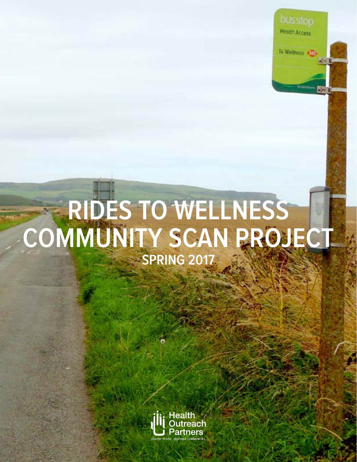

# **RIDES TO WELLNESS COMMUNITY SCAN PROJECT SPRING 2017**

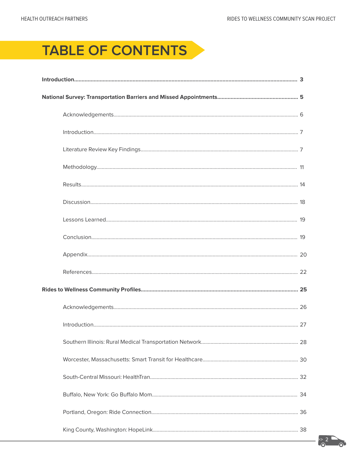# TABLE OF CONTENTS

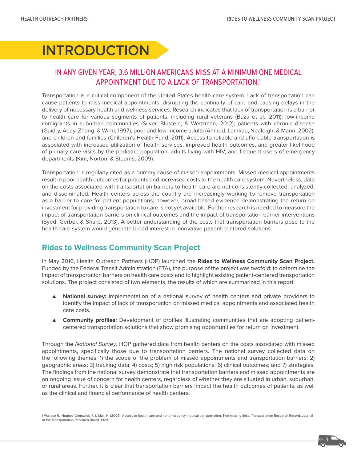# **INTRODUCTION**

# IN ANY GIVEN YEAR, 3.6 MILLION AMERICANS MISS AT A MINIMUM ONE MEDICAL APPOINTMENT DUE TO A LACK OF TRANSPORTATION.1

Transportation is a critical component of the United States health care system. Lack of transportation can cause patients to miss medical appointments, disrupting the continuity of care and causing delays in the delivery of necessary health and wellness services. Research indicates that lack of transportation is a barrier to health care for various segments of patients, including rural veterans (Buza et al., 2011); low-income immigrants in suburban communities (Silver, Blustein, & Weitzman, 2012); patients with chronic disease (Guidry, Aday, Zhang, & Winn, 1997); poor and low-income adults (Ahmed, Lemkau, Nealeigh, & Mann, 2002); and children and families (Children's Health Fund, 2011). Access to reliable and affordable transportation is associated with increased utilization of health services, improved health outcomes, and greater likelihood of primary care visits by the pediatric population, adults living with HIV, and frequent users of emergency departments (Kim, Norton, & Stearns, 2009).

Transportation is regularly cited as a primary cause of missed appointments. Missed medical appointments result in poor health outcomes for patients and increased costs to the health care system. Nevertheless, data on the costs associated with transportation barriers to health care are not consistently collected, analyzed, and disseminated. Health centers across the country are increasingly working to remove transportation as a barrier to care for patient populations; however, broad-based evidence demonstrating the return on investment for providing transportation to care is not yet available. Further research is needed to measure the impact of transportation barriers on clinical outcomes and the impact of transportation barrier interventions (Syed, Gerber, & Sharp, 2013). A better understanding of the costs that transportation barriers pose to the health care system would generate broad interest in innovative patient-centered solutions.

# **Rides to Wellness Community Scan Project**

In May 2016, Health Outreach Partners (HOP) launched the **Rides to Wellness Community Scan Project.**  Funded by the Federal Transit Administration (FTA), the purpose of the project was twofold: to determine the impact of transportation barriers on health care costs and to highlight existing patient-centered transportation solutions. The project consisted of two elements, the results of which are summarized in this report:

- ▲ **National survey:** Implementation of a national survey of health centers and private providers to identify the impact of lack of transportation on missed medical appointments and associated health care costs.
- ▲ **Community profiles:** Development of profiles illustrating communities that are adopting patientcentered transportation solutions that show promising opportunities for return on investment.

Through the National Survey, HOP gathered data from health centers on the costs associated with missed appointments, specifically those due to transportation barriers. The national survey collected data on the following themes: 1) the scope of the problem of missed appointments and transportation barriers; 2) geographic areas; 3) tracking data; 4) costs; 5) high risk populations; 6) clinical outcomes; and 7) strategies. The findings from the national survey demonstrate that transportation barriers and missed appointments are an ongoing issue of concern for health centers, regardless of whether they are situated in urban, suburban, or rural areas. Further, it is clear that transportation barriers impact the health outcomes of patients, as well as the clinical and financial performance of health centers.

1 Wallace R., Hughes-Cromwick, P. & Mull, H. (2005). Access to health care and nonemergency medical transportation: Two missing links. Transportation Research Record: Journal of the Transportation Research Board, 1924.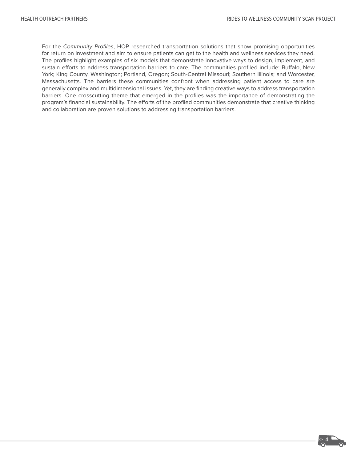For the Community Profiles, HOP researched transportation solutions that show promising opportunities for return on investment and aim to ensure patients can get to the health and wellness services they need. The profiles highlight examples of six models that demonstrate innovative ways to design, implement, and sustain efforts to address transportation barriers to care. The communities profiled include: Buffalo, New York; King County, Washington; Portland, Oregon; South-Central Missouri; Southern Illinois; and Worcester, Massachusetts. The barriers these communities confront when addressing patient access to care are generally complex and multidimensional issues. Yet, they are finding creative ways to address transportation barriers. One crosscutting theme that emerged in the profiles was the importance of demonstrating the program's financial sustainability. The efforts of the profiled communities demonstrate that creative thinking and collaboration are proven solutions to addressing transportation barriers.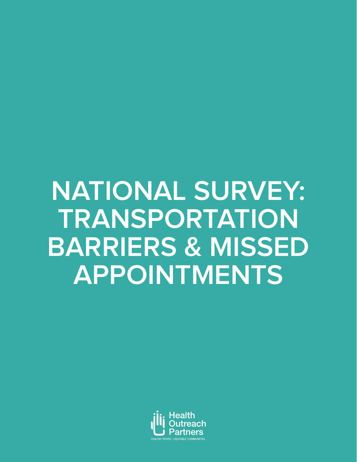# **NATIONAL SURVEY: TRANSPORTATION BARRIERS & MISSED APPOINTMENTS**

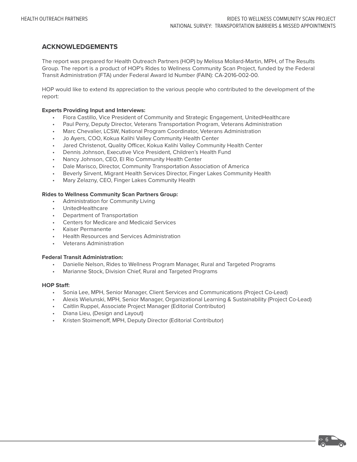#### **ACKNOWLEDGEMENTS**

The report was prepared for Health Outreach Partners (HOP) by Melissa Mollard-Martin, MPH, of The Results Group. The report is a product of HOP's Rides to Wellness Community Scan Project, funded by the Federal Transit Administration (FTA) under Federal Award Id Number (FAIN): CA-2016-002-00.

HOP would like to extend its appreciation to the various people who contributed to the development of the report:

#### **Experts Providing Input and Interviews:**

- Flora Castillo, Vice President of Community and Strategic Engagement, UnitedHealthcare
- Paul Perry, Deputy Director, Veterans Transportation Program, Veterans Administration
- Marc Chevalier, LCSW, National Program Coordinator, Veterans Administration
- Jo Ayers, COO, Kokua Kalihi Valley Community Health Center
- Jared Christenot, Quality Officer, Kokua Kalihi Valley Community Health Center
- Dennis Johnson, Executive Vice President, Children's Health Fund
- Nancy Johnson, CEO, El Rio Community Health Center
- Dale Marisco, Director, Community Transportation Association of America
- Beverly Sirvent, Migrant Health Services Director, Finger Lakes Community Health
- Mary Zelazny, CEO, Finger Lakes Community Health

#### **Rides to Wellness Community Scan Partners Group:**

- Administration for Community Living
- UnitedHealthcare
- Department of Transportation
- Centers for Medicare and Medicaid Services
- Kaiser Permanente
- Health Resources and Services Administration
- Veterans Administration

#### **Federal Transit Administration:**

- Danielle Nelson, Rides to Wellness Program Manager, Rural and Targeted Programs
- Marianne Stock, Division Chief, Rural and Targeted Programs

#### **HOP Staff:**

- Sonia Lee, MPH, Senior Manager, Client Services and Communications (Project Co-Lead)
- Alexis Wielunski, MPH, Senior Manager, Organizational Learning & Sustainability (Project Co-Lead)
- Caitlin Ruppel, Associate Project Manager (Editorial Contributor)
- Diana Lieu, (Design and Layout)
- Kristen Stoimenoff, MPH, Deputy Director (Editorial Contributor)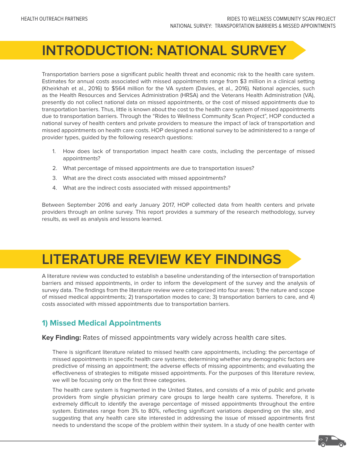# **INTRODUCTION: NATIONAL SURVEY**

Transportation barriers pose a significant public health threat and economic risk to the health care system. Estimates for annual costs associated with missed appointments range from \$3 million in a clinical setting (Kheirkhah et al., 2016) to \$564 million for the VA system (Davies, et al., 2016). National agencies, such as the Health Resources and Services Administration (HRSA) and the Veterans Health Administration (VA), presently do not collect national data on missed appointments, or the cost of missed appointments due to transportation barriers. Thus, little is known about the cost to the health care system of missed appointments due to transportation barriers. Through the "Rides to Wellness Community Scan Project", HOP conducted a national survey of health centers and private providers to measure the impact of lack of transportation and missed appointments on health care costs. HOP designed a national survey to be administered to a range of provider types, guided by the following research questions:

- 1. How does lack of transportation impact health care costs, including the percentage of missed appointments?
- 2. What percentage of missed appointments are due to transportation issues?
- 3. What are the direct costs associated with missed appointments?
- 4. What are the indirect costs associated with missed appointments?

Between September 2016 and early January 2017, HOP collected data from health centers and private providers through an online survey. This report provides a summary of the research methodology, survey results, as well as analysis and lessons learned.

# **LITERATURE REVIEW KEY FINDINGS**

A literature review was conducted to establish a baseline understanding of the intersection of transportation barriers and missed appointments, in order to inform the development of the survey and the analysis of survey data. The findings from the literature review were categorized into four areas: 1) the nature and scope of missed medical appointments; 2) transportation modes to care; 3) transportation barriers to care, and 4) costs associated with missed appointments due to transportation barriers.

# **1) Missed Medical Appointments**

**Key Finding:** Rates of missed appointments vary widely across health care sites.

There is significant literature related to missed health care appointments, including: the percentage of missed appointments in specific health care systems; determining whether any demographic factors are predictive of missing an appointment; the adverse effects of missing appointments; and evaluating the effectiveness of strategies to mitigate missed appointments. For the purposes of this literature review, we will be focusing only on the first three categories.

The health care system is fragmented in the United States, and consists of a mix of public and private providers from single physician primary care groups to large health care systems. Therefore, it is extremely difficult to identify the average percentage of missed appointments throughout the entire system. Estimates range from 3% to 80%, reflecting significant variations depending on the site, and suggesting that any health care site interested in addressing the issue of missed appointments first needs to understand the scope of the problem within their system. In a study of one health center with

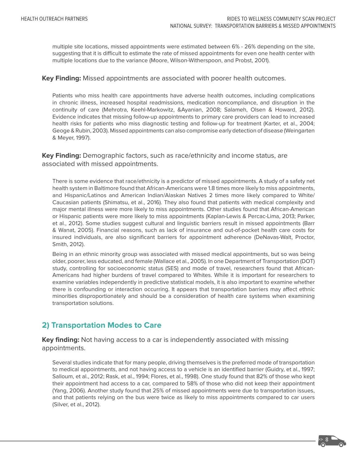multiple site locations, missed appointments were estimated between 6% - 26% depending on the site, suggesting that it is difficult to estimate the rate of missed appointments for even one health center with multiple locations due to the variance (Moore, Wilson-Witherspoon, and Probst, 2001).

#### **Key Finding:** Missed appointments are associated with poorer health outcomes.

Patients who miss health care appointments have adverse health outcomes, including complications in chronic illness, increased hospital readmissions, medication noncompliance, and disruption in the continuity of care (Mehrotra, Keehl-Markowitz, &Ayanian, 2008; Salameh, Olsen & Howard, 2012). Evidence indicates that missing follow-up appointments to primary care providers can lead to increased health risks for patients who miss diagnostic testing and follow-up for treatment (Karter, et al., 2004; Geoge & Rubin, 2003). Missed appointments can also compromise early detection of disease (Weingarten & Meyer, 1997).

**Key Finding:** Demographic factors, such as race/ethnicity and income status, are associated with missed appointments.

There is some evidence that race/ethnicity is a predictor of missed appointments. A study of a safety net health system in Baltimore found that African-Americans were 1.8 times more likely to miss appointments, and Hispanic/Latinos and American Indian/Alaskan Natives 2 times more likely compared to White/ Caucasian patients (Shimatsu, et al., 2016). They also found that patients with medical complexity and major mental illness were more likely to miss appointments. Other studies found that African-American or Hispanic patients were more likely to miss appointments (Kaplan-Lewis & Percac-Lima, 2013; Parker, et al., 2012). Some studies suggest cultural and linguistic barriers result in missed appointments (Barr & Wanat, 2005). Financial reasons, such as lack of insurance and out-of-pocket health care costs for insured individuals, are also significant barriers for appointment adherence (DeNavas-Walt, Proctor, Smith, 2012).

Being in an ethnic minority group was associated with missed medical appointments, but so was being older, poorer, less educated, and female (Wallace et al., 2005). In one Department of Transportation (DOT) study, controlling for socioeconomic status (SES) and mode of travel, researchers found that African-Americans had higher burdens of travel compared to Whites. While it is important for researchers to examine variables independently in predictive statistical models, it is also important to examine whether there is confounding or interaction occurring. It appears that transportation barriers may affect ethnic minorities disproportionately and should be a consideration of health care systems when examining transportation solutions.

# **2) Transportation Modes to Care**

**Key finding:** Not having access to a car is independently associated with missing appointments.

Several studies indicate that for many people, driving themselves is the preferred mode of transportation to medical appointments, and not having access to a vehicle is an identified barrier (Guidry, et al., 1997; Salloum, et al., 2012; Rask, et al., 1994; Flores, et al., 1998). One study found that 82% of those who kept their appointment had access to a car, compared to 58% of those who did not keep their appointment (Yang, 2006). Another study found that 25% of missed appointments were due to transportation issues, and that patients relying on the bus were twice as likely to miss appointments compared to car users (Silver, et al., 2012).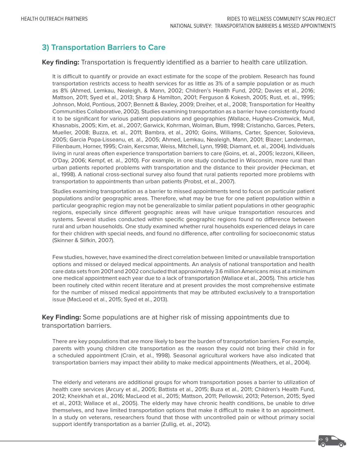# **3) Transportation Barriers to Care**

#### **Key finding:** Transportation is frequently identified as a barrier to health care utilization.

It is difficult to quantify or provide an exact estimate for the scope of the problem. Research has found transportation restricts access to health services for as little as 3% of a sample population or as much as 8% (Ahmed, Lemkau, Nealeigh, & Mann, 2002; Children's Health Fund, 2012; Davies et al., 2016; Mattson, 2011; Syed et al., 2013; Sharp & Hamilton, 2001; Ferguson & Kokesh, 2005; Rust, et. al., 1995; Johnson, Mold, Pontious, 2007; Bennett & Baxley, 2009; Dreiher, et al., 2008; Transportation for Healthy Communities Collaborative, 2002). Studies examining transportation as a barrier have consistently found it to be significant for various patient populations and geographies (Wallace, Hughes-Cromwick, Mull, Khasnabis, 2005; Kim, et. al., 2007; Garwick, Kohrman, Wolman, Blum, 1998; Cristancho, Garces, Peters, Mueller, 2008; Buzza, et. al., 2011; Bambra, et al., 2010; Goins, Williams, Carter, Spencer, Solovieva, 2005; Garcia Popa-Lisseanu, et. al., 2005; Ahmed, Lemkau, Nealeigh, Mann, 2001; Blazer; Landerman, Fillenbaum, Horner, 1995; Crain, Kercsmar, Weiss, Mitchell, Lynn, 1998; Diamant, et. al., 2004). Individuals living in rural areas often experience transportation barriers to care (Goins, et. al., 2005; Iezzoni, Killeen, O'Day, 2006; Kempf, et. al., 2010). For example, in one study conducted in Wisconsin, more rural than urban patients reported problems with transportation and the distance to their provider (Heckman, et al., 1998). A national cross-sectional survey also found that rural patients reported more problems with transportation to appointments than urban patients (Probst, et al., 2007).

Studies examining transportation as a barrier to missed appointments tend to focus on particular patient populations and/or geographic areas. Therefore, what may be true for one patient population within a particular geographic region may not be generalizable to similar patient populations in other geographic regions, especially since different geographic areas will have unique transportation resources and systems. Several studies conducted within specific geographic regions found no difference between rural and urban households. One study examined whether rural households experienced delays in care for their children with special needs, and found no difference, after controlling for socioeconomic status (Skinner & Slifkin, 2007).

Few studies, however, have examined the direct correlation between limited or unavailable transportation options and missed or delayed medical appointments. An analysis of national transportation and health care data sets from 2001 and 2002 concluded that approximately 3.6 million Americans miss at a minimum one medical appointment each year due to a lack of transportation (Wallace et al., 2005). This article has been routinely cited within recent literature and at present provides the most comprehensive estimate for the number of missed medical appointments that may be attributed exclusively to a transportation issue (MacLeod et al., 2015; Syed et al., 2013).

**Key Finding:** Some populations are at higher risk of missing appointments due to transportation barriers.

There are key populations that are more likely to bear the burden of transportation barriers. For example, parents with young children cite transportation as the reason they could not bring their child in for a scheduled appointment (Crain, et al., 1998). Seasonal agricultural workers have also indicated that transportation barriers may impact their ability to make medical appointments (Weathers, et al., 2004).

The elderly and veterans are additional groups for whom transportation poses a barrier to utilization of health care services (Arcury et al., 2005; Battista et al., 2015; Buza et al., 2011; Children's Health Fund, 2012; Kheirkhah et al., 2016; MacLeod et al., 2015; Mattson, 2011; Pellowski, 2013; Peterson, 2015; Syed et al., 2013; Wallace et al., 2005). The elderly may have chronic health conditions, be unable to drive themselves, and have limited transportation options that make it difficult to make it to an appointment. In a study on veterans, researchers found that those with uncontrolled pain or without primary social support identify transportation as a barrier (Zullig, et. al., 2012).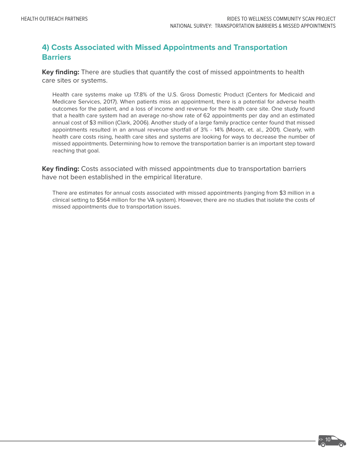# **4) Costs Associated with Missed Appointments and Transportation Barriers**

**Key finding:** There are studies that quantify the cost of missed appointments to health care sites or systems.

Health care systems make up 17.8% of the U.S. Gross Domestic Product (Centers for Medicaid and Medicare Services, 2017). When patients miss an appointment, there is a potential for adverse health outcomes for the patient, and a loss of income and revenue for the health care site. One study found that a health care system had an average no-show rate of 62 appointments per day and an estimated annual cost of \$3 million (Clark, 2006). Another study of a large family practice center found that missed appointments resulted in an annual revenue shortfall of 3% - 14% (Moore, et. al., 2001). Clearly, with health care costs rising, health care sites and systems are looking for ways to decrease the number of missed appointments. Determining how to remove the transportation barrier is an important step toward reaching that goal.

**Key finding:** Costs associated with missed appointments due to transportation barriers have not been established in the empirical literature.

There are estimates for annual costs associated with missed appointments (ranging from \$3 million in a clinical setting to \$564 million for the VA system). However, there are no studies that isolate the costs of missed appointments due to transportation issues.

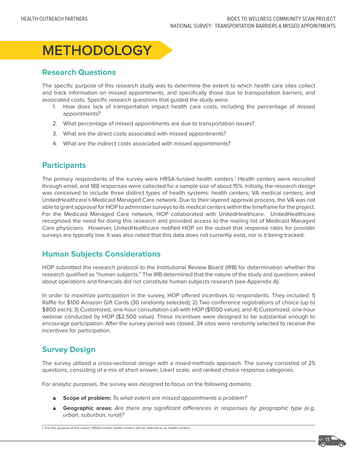

## **Research Questions**

The specific purpose of this research study was to determine the extent to which health care sites collect and track information on missed appointments, and specifically those due to transportation barriers, and associated costs. Specific research questions that guided the study were:

- 1. How does lack of transportation impact health care costs, including the percentage of missed appointments?
- 2. What percentage of missed appointments are due to transportation issues?
- 3. What are the direct costs associated with missed appointments?
- 4. What are the indirect costs associated with missed appointments?

### **Participants**

The primary respondents of the survey were HRSA-funded health centers.<sup>1</sup> Health centers were recruited through email, and 188 responses were collected for a sample size of about 15%. Initially, the research design was conceived to include three distinct types of health systems: health centers; VA medical centers; and UnitedHealthcare's Medicaid Managed Care network. Due to their layered approval process, the VA was not able to grant approval for HOP to administer surveys to its medical centers within the timeframe for the project. For the Medicaid Managed Care network, HOP collaborated with UnitedHealthcare. UnitedHealthcare recognized the need for doing this research and provided access to the mailing list of Medicaid Managed Care physicians. However, UnitedHealthcare notified HOP on the outset that response rates for provider surveys are typically low. It was also noted that this data does not currently exist, nor is it being tracked.

## **Human Subjects Considerations**

HOP submitted the research protocol to the Institutional Review Board (IRB) for determination whether the research qualified as "human subjects." The IRB determined that the nature of the study and questions asked about operations and financials did not constitute human subjects research (see Appendix A).

In order to maximize participation in the survey, HOP offered incentives to respondents. They included: 1) Raffle for \$100 Amazon Gift Cards (30 randomly selected); 2) Two conference registrations of choice (up to \$800 each); 3) Customized, one-hour consultation call with HOP (\$1000 value); and 4) Customized, one-hour webinar conducted by HOP (\$2,500 value). These incentives were designed to be substantial enough to encourage participation. After the survey period was closed, 34 sites were randomly selected to receive the incentives for participation.

### **Survey Design**

The survey utilized a cross-sectional design with a mixed-methods approach. The survey consisted of 25 questions, consisting of a mix of short answer, Likert scale, and ranked choice response categories.

For analytic purposes, the survey was designed to focus on the following domains:

- ▲ **Scope of problem:** To what extent are missed appointments a problem?
- ▲ **Geographic areas:** Are there any significant differences in responses by geographic type (e.g. urban, suburban, rural)?

1 For the purpose of the report, HRSA-funded health centers will be referred to as health centers.

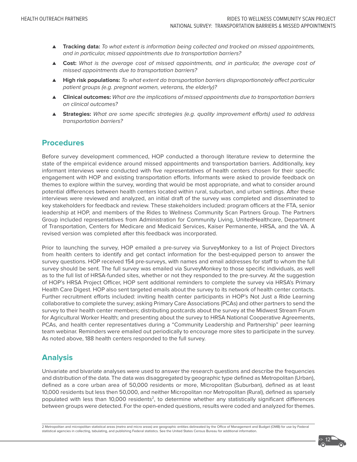- ▲ **Tracking data:** To what extent is information being collected and tracked on missed appointments, and in particular, missed appointments due to transportation barriers?
- ▲ **Cost:** What is the average cost of missed appointments, and in particular, the average cost of missed appointments due to transportation barriers?
- ▲ **High risk populations:** To what extent do transportation barriers disproportionately affect particular patient groups (e.g. pregnant women, veterans, the elderly)?
- ▲ **Clinical outcomes:** What are the implications of missed appointments due to transportation barriers on clinical outcomes?
- ▲ **Strategies:** What are some specific strategies (e.g. quality improvement efforts) used to address transportation barriers?

#### **Procedures**

Before survey development commenced, HOP conducted a thorough literature review to determine the state of the empirical evidence around missed appointments and transportation barriers. Additionally, key informant interviews were conducted with five representatives of health centers chosen for their specific engagement with HOP and existing transportation efforts. Informants were asked to provide feedback on themes to explore within the survey, wording that would be most appropriate, and what to consider around potential differences between health centers located within rural, suburban, and urban settings. After these interviews were reviewed and analyzed, an initial draft of the survey was completed and disseminated to key stakeholders for feedback and review. These stakeholders included: program officers at the FTA, senior leadership at HOP, and members of the Rides to Wellness Community Scan Partners Group. The Partners Group included representatives from Administration for Community Living, UnitedHealthcare, Department of Transportation, Centers for Medicare and Medicaid Services, Kaiser Permanente, HRSA, and the VA. A revised version was completed after this feedback was incorporated.

Prior to launching the survey, HOP emailed a pre-survey via SurveyMonkey to a list of Project Directors from health centers to identify and get contact information for the best-equipped person to answer the survey questions. HOP received 154 pre-surveys, with names and email addresses for staff to whom the full survey should be sent. The full survey was emailed via SurveyMonkey to those specific individuals, as well as to the full list of HRSA-funded sites, whether or not they responded to the pre-survey. At the suggestion of HOP's HRSA Project Officer, HOP sent additional reminders to complete the survey via HRSA's Primary Health Care Digest. HOP also sent targeted emails about the survey to its network of health center contacts. Further recruitment efforts included: inviting health center participants in HOP's Not Just a Ride Learning collaborative to complete the survey; asking Primary Care Associations (PCAs) and other partners to send the survey to their health center members; distributing postcards about the survey at the Midwest Stream Forum for Agricultural Worker Health; and presenting about the survey to HRSA National Cooperative Agreements, PCAs, and health center representatives during a "Community Leadership and Partnership" peer learning team webinar. Reminders were emailed out periodically to encourage more sites to participate in the survey. As noted above, 188 health centers responded to the full survey.

### **Analysis**

Univariate and bivariate analyses were used to answer the research questions and describe the frequencies and distribution of the data. The data was disaggregated by geographic type defined as Metropolitan (Urban), defined as a core urban area of 50,000 residents or more, Micropolitan (Suburban), defined as at least 10,000 residents but less then 50,000, and neither Micropolitan nor Metropolitan (Rural), defined as sparsely populated with less than 10,000 residents<sup>2</sup>, to determine whether any statistically significant differences between groups were detected. For the open-ended questions, results were coded and analyzed for themes.

2 Metropolitan and micropolitan statistical areas (metro and micro areas) are geographic entities delineated by the Office of Management and Budget (OMB) for use by Federal statistical agencies in collecting, tabulating, and publishing Federal statistics. See the United States Census Bureau for additional information.

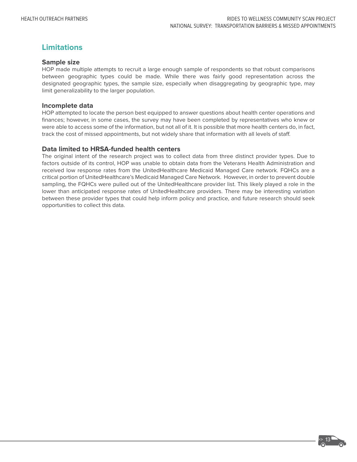# **Limitations**

#### **Sample size**

HOP made multiple attempts to recruit a large enough sample of respondents so that robust comparisons between geographic types could be made. While there was fairly good representation across the designated geographic types, the sample size, especially when disaggregating by geographic type, may limit generalizability to the larger population.

#### **Incomplete data**

HOP attempted to locate the person best equipped to answer questions about health center operations and finances; however, in some cases, the survey may have been completed by representatives who knew or were able to access some of the information, but not all of it. It is possible that more health centers do, in fact, track the cost of missed appointments, but not widely share that information with all levels of staff.

#### **Data limited to HRSA-funded health centers**

The original intent of the research project was to collect data from three distinct provider types. Due to factors outside of its control, HOP was unable to obtain data from the Veterans Health Administration and received low response rates from the UnitedHealthcare Medicaid Managed Care network. FQHCs are a critical portion of UnitedHealthcare's Medicaid Managed Care Network. However, in order to prevent double sampling, the FQHCs were pulled out of the UnitedHealthcare provider list. This likely played a role in the lower than anticipated response rates of UnitedHealthcare providers. There may be interesting variation between these provider types that could help inform policy and practice, and future research should seek opportunities to collect this data.

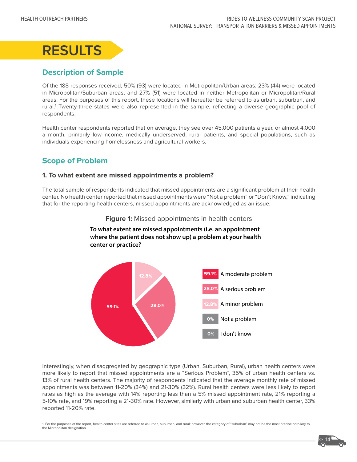

# **Description of Sample**

Of the 188 responses received, 50% (93) were located in Metropolitan/Urban areas; 23% (44) were located in Micropolitan/Suburban areas, and 27% (51) were located in neither Metropolitan or Micropolitan/Rural areas. For the purposes of this report, these locations will hereafter be referred to as urban, suburban, and rural.<sup>1</sup> Twenty-three states were also represented in the sample, reflecting a diverse geographic pool of respondents.

Health center respondents reported that on average, they see over 45,000 patients a year, or almost 4,000 a month, primarily low-income, medically underserved, rural patients, and special populations, such as individuals experiencing homelessness and agricultural workers.

# **Scope of Problem**

#### **1. To what extent are missed appointments a problem?**

**center or practice?**

The total sample of respondents indicated that missed appointments are a significant problem at their health center. No health center reported that missed appointments were "Not a problem" or "Don't Know," indicating that for the reporting health centers, missed appointments are acknowledged as an issue.



**Figure 1:** Missed appointments in health centers

**To what extent are missed appointments (i.e. an appointment where the patient does not show up) a problem at your health** 

Interestingly, when disaggregated by geographic type (Urban, Suburban, Rural), urban health centers were more likely to report that missed appointments are a "Serious Problem", 35% of urban health centers vs. 13% of rural health centers. The majority of respondents indicated that the average monthly rate of missed appointments was between 11-20% (34%) and 21-30% (32%). Rural health centers were less likely to report rates as high as the average with 14% reporting less than a 5% missed appointment rate, 21% reporting a 5-10% rate, and 19% reporting a 21-30% rate. However, similarly with urban and suburban health center, 33% reported 11-20% rate.

1 For the purposes of the report, health center sites are referred to as urban, suburban, and rural; however, the category of "suburban" may not be the most precise corollary to the Micropolitan designation.

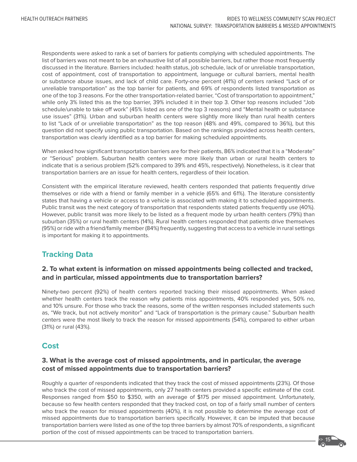Respondents were asked to rank a set of barriers for patients complying with scheduled appointments. The list of barriers was not meant to be an exhaustive list of all possible barriers, but rather those most frequently discussed in the literature. Barriers included: health status, job schedule, lack of or unreliable transportation, cost of appointment, cost of transportation to appointment, language or cultural barriers, mental health or substance abuse issues, and lack of child care. Forty-one percent (41%) of centers ranked "Lack of or unreliable transportation" as the top barrier for patients, and 69% of respondents listed transportation as one of the top 3 reasons. For the other transportation-related barrier, "Cost of transportation to appointment," while only 3% listed this as the top barrier, 39% included it in their top 3. Other top reasons included "Job schedule/unable to take off work" (45% listed as one of the top 3 reasons) and "Mental health or substance use issues" (31%). Urban and suburban health centers were slightly more likely than rural health centers to list "Lack of or unreliable transportation" as the top reason (48% and 49%, compared to 36%), but this question did not specify using public transportation. Based on the rankings provided across health centers, transportation was clearly identified as a top barrier for making scheduled appointments.

When asked how significant transportation barriers are for their patients, 86% indicated that it is a "Moderate" or "Serious" problem. Suburban health centers were more likely than urban or rural health centers to indicate that is a serious problem (52% compared to 39% and 45%, respectively). Nonetheless, is it clear that transportation barriers are an issue for health centers, regardless of their location.

Consistent with the empirical literature reviewed, health centers responded that patients frequently drive themselves or ride with a friend or family member in a vehicle (65% and 61%). The literature consistently states that having a vehicle or access to a vehicle is associated with making it to scheduled appointments. Public transit was the next category of transportation that respondents stated patients frequently use (40%). However, public transit was more likely to be listed as a frequent mode by urban health centers (79%) than suburban (35%) or rural health centers (14%). Rural health centers responded that patients drive themselves (95%) or ride with a friend/family member (84%) frequently, suggesting that access to a vehicle in rural settings is important for making it to appointments.

# **Tracking Data**

#### **2. To what extent is information on missed appointments being collected and tracked, and in particular, missed appointments due to transportation barriers?**

Ninety-two percent (92%) of health centers reported tracking their missed appointments. When asked whether health centers track the reason why patients miss appointments, 40% responded yes, 50% no, and 10% unsure. For those who track the reasons, some of the written responses included statements such as, "We track, but not actively monitor" and "Lack of transportation is the primary cause." Suburban health centers were the most likely to track the reason for missed appointments (54%), compared to either urban (31%) or rural (43%).

### **Cost**

#### **3. What is the average cost of missed appointments, and in particular, the average cost of missed appointments due to transportation barriers?**

Roughly a quarter of respondents indicated that they track the cost of missed appointments (23%). Of those who track the cost of missed appointments, only 27 health centers provided a specific estimate of the cost. Responses ranged from \$50 to \$350, with an average of \$175 per missed appointment. Unfortunately, because so few health centers responded that they tracked cost, on top of a fairly small number of centers who track the reason for missed appointments (40%), it is not possible to determine the average cost of missed appointments due to transportation barriers specifically. However, it can be imputed that because transportation barriers were listed as one of the top three barriers by almost 70% of respondents, a significant portion of the cost of missed appointments can be traced to transportation barriers.

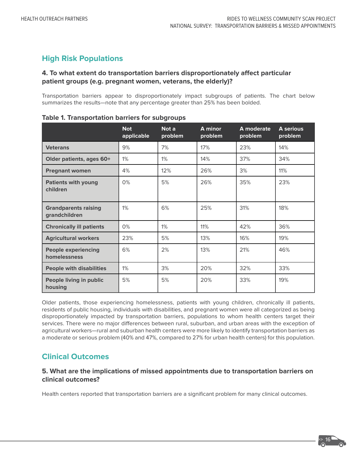# **High Risk Populations**

#### **4. To what extent do transportation barriers disproportionately affect particular patient groups (e.g. pregnant women, veterans, the elderly)?**

Transportation barriers appear to disproportionately impact subgroups of patients. The chart below summarizes the results—note that any percentage greater than 25% has been bolded.

|                                              | <b>Not</b><br>applicable | Not a<br>problem | A minor<br>problem | A moderate<br>problem | A serious<br>problem |
|----------------------------------------------|--------------------------|------------------|--------------------|-----------------------|----------------------|
| <b>Veterans</b>                              | 9%                       | 7%               | 17%                | 23%                   | 14%                  |
| Older patients, ages 60+                     | 1%                       | 1%               | 14%                | 37%                   | 34%                  |
| <b>Pregnant women</b>                        | 4%                       | 12%              | 26%                | 3%                    | 11%                  |
| <b>Patients with young</b><br>children       | 0%                       | 5%               | 26%                | 35%                   | 23%                  |
| <b>Grandparents raising</b><br>grandchildren | $1\%$                    | 6%               | 25%                | 31%                   | 18%                  |
| <b>Chronically ill patients</b>              | 0%                       | 1%               | 11%                | 42%                   | 36%                  |
| <b>Agricultural workers</b>                  | 23%                      | 5%               | 13%                | 16%                   | 19%                  |
| <b>People experiencing</b><br>homelessness   | 6%                       | 2%               | 13%                | 21%                   | 46%                  |
| <b>People with disabilities</b>              | 1%                       | 3%               | 20%                | 32%                   | 33%                  |
| People living in public<br>housing           | 5%                       | 5%               | 20%                | 33%                   | 19%                  |

|  | <b>Table 1. Transportation barriers for subgroups</b> |  |  |  |
|--|-------------------------------------------------------|--|--|--|
|--|-------------------------------------------------------|--|--|--|

Older patients, those experiencing homelessness, patients with young children, chronically ill patients, residents of public housing, individuals with disabilities, and pregnant women were all categorized as being disproportionately impacted by transportation barriers, populations to whom health centers target their services. There were no major differences between rural, suburban, and urban areas with the exception of agricultural workers—rural and suburban health centers were more likely to identify transportation barriers as a moderate or serious problem (40% and 47%, compared to 27% for urban health centers) for this population.

# **Clinical Outcomes**

#### **5. What are the implications of missed appointments due to transportation barriers on clinical outcomes?**

Health centers reported that transportation barriers are a significant problem for many clinical outcomes.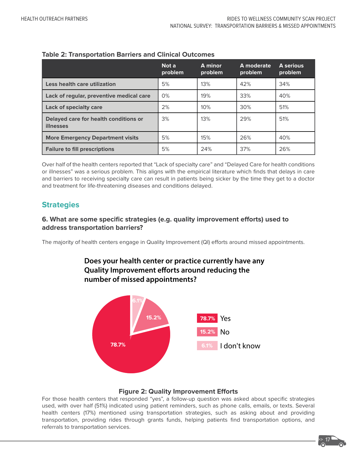|                                                    | Not a<br>problem | A minor<br>problem | A moderate<br>problem | <b>A</b> serious<br>problem |
|----------------------------------------------------|------------------|--------------------|-----------------------|-----------------------------|
| Less health care utilization                       | 5%               | 13%                | 42%                   | 34%                         |
| Lack of regular, preventive medical care           | 0%               | 19%                | 33%                   | 40%                         |
| Lack of specialty care                             | 2%               | 10%                | 30%                   | 51%                         |
| Delayed care for health conditions or<br>illnesses | 3%               | 13%                | 29%                   | 51%                         |
| <b>More Emergency Department visits</b>            | 5%               | 15%                | 26%                   | 40%                         |
| <b>Failure to fill prescriptions</b>               | 5%               | 24%                | 37%                   | 26%                         |

#### **Table 2: Transportation Barriers and Clinical Outcomes**

Over half of the health centers reported that "Lack of specialty care" and "Delayed Care for health conditions or illnesses" was a serious problem. This aligns with the empirical literature which finds that delays in care and barriers to receiving specialty care can result in patients being sicker by the time they get to a doctor and treatment for life-threatening diseases and conditions delayed.

# **Strategies**

#### **6. What are some specific strategies (e.g. quality improvement efforts) used to address transportation barriers?**

The majority of health centers engage in Quality Improvement (QI) efforts around missed appointments.

# **Does your health center or practice currently have any Quality Improvement efforts around reducing the number of missed appointments?**



#### **Figure 2: Quality Improvement Efforts**

For those health centers that responded "yes", a follow-up question was asked about specific strategies used, with over half (51%) indicated using patient reminders, such as phone calls, emails, or texts. Several health centers (17%) mentioned using transportation strategies, such as asking about and providing transportation, providing rides through grants funds, helping patients find transportation options, and referrals to transportation services.

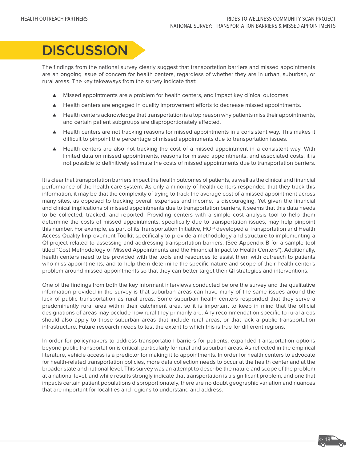**>>> 18**

# **DISCUSSION**

The findings from the national survey clearly suggest that transportation barriers and missed appointments are an ongoing issue of concern for health centers, regardless of whether they are in urban, suburban, or rural areas. The key takeaways from the survey indicate that:

- ▲ Missed appointments are a problem for health centers, and impact key clinical outcomes.
- ▲ Health centers are engaged in quality improvement efforts to decrease missed appointments.
- ▲ Health centers acknowledge that transportation is a top reason why patients miss their appointments, and certain patient subgroups are disproportionately affected.
- ▲ Health centers are not tracking reasons for missed appointments in a consistent way. This makes it difficult to pinpoint the percentage of missed appointments due to transportation issues.
- ▲ Health centers are also not tracking the cost of a missed appointment in a consistent way. With limited data on missed appointments, reasons for missed appointments, and associated costs, it is not possible to definitively estimate the costs of missed appointments due to transportation barriers.

It is clear that transportation barriers impact the health outcomes of patients, as well as the clinical and financial performance of the health care system. As only a minority of health centers responded that they track this information, it may be that the complexity of trying to track the average cost of a missed appointment across many sites, as opposed to tracking overall expenses and income, is discouraging. Yet given the financial and clinical implications of missed appointments due to transportation barriers, it seems that this data needs to be collected, tracked, and reported. Providing centers with a simple cost analysis tool to help them determine the costs of missed appointments, specifically due to transportation issues, may help pinpoint this number. For example, as part of its Transportation Initiative, HOP developed a [Transportation and Health](https://outreach-partners.org/2016/10/19/transportation-quality-improvement-toolkit/)  [Access Quality Improvement Toolkit s](https://outreach-partners.org/2016/10/19/transportation-quality-improvement-toolkit/)pecifically to provide a methodology and structure to implementing a QI project related to assessing and addressing transportation barriers. (See Appendix B for a sample tool titled "Cost Methodology of Missed Appointments and the Financial Impact to Health Centers"). Additionally, health centers need to be provided with the tools and resources to assist them with outreach to patients who miss appointments, and to help them determine the specific nature and scope of their health center's problem around missed appointments so that they can better target their QI strategies and interventions.

One of the findings from both the key informant interviews conducted before the survey and the qualitative information provided in the survey is that suburban areas can have many of the same issues around the lack of public transportation as rural areas. Some suburban health centers responded that they serve a predominantly rural area within their catchment area, so it is important to keep in mind that the official designations of areas may occlude how rural they primarily are. Any recommendation specific to rural areas should also apply to those suburban areas that include rural areas, or that lack a public transportation infrastructure. Future research needs to test the extent to which this is true for different regions.

In order for policymakers to address transportation barriers for patients, expanded transportation options beyond public transportation is critical, particularly for rural and suburban areas. As reflected in the empirical literature, vehicle access is a predictor for making it to appointments. In order for health centers to advocate for health-related transportation policies, more data collection needs to occur at the health center and at the broader state and national level. This survey was an attempt to describe the nature and scope of the problem at a national level, and while results strongly indicate that transportation is a significant problem, and one that impacts certain patient populations disproportionately, there are no doubt geographic variation and nuances that are important for localities and regions to understand and address.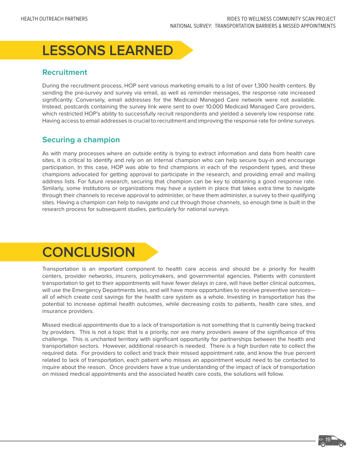# **LESSONS LEARNED**

# **Recruitment**

During the recruitment process, HOP sent various marketing emails to a list of over 1,300 health centers. By sending the pre-survey and survey via email, as well as reminder messages, the response rate increased significantly. Conversely, email addresses for the Medicaid Managed Care network were not available. Instead, postcards containing the survey link were sent to over 10,000 Medicaid Managed Care providers, which restricted HOP's ability to successfully recruit respondents and yielded a severely low response rate. Having access to email addresses is crucial to recruitment and improving the response rate for online surveys.

# **Securing a champion**

As with many processes where an outside entity is trying to extract information and data from health care sites, it is critical to identify and rely on an internal champion who can help secure buy-in and encourage participation. In this case, HOP was able to find champions in each of the respondent types, and these champions advocated for getting approval to participate in the research, and providing email and mailing address lists. For future research, securing that champion can be key to obtaining a good response rate. Similarly, some institutions or organizations may have a system in place that takes extra time to navigate through their channels to receive approval to administer, or have them administer, a survey to their qualifying sites. Having a champion can help to navigate and cut through those channels, so enough time is built in the research process for subsequent studies, particularly for national surveys.

# **CONCLUSION**

Transportation is an important component to health care access and should be a priority for health centers, provider networks, insurers, policymakers, and governmental agencies. Patients with consistent transportation to get to their appointments will have fewer delays in care, will have better clinical outcomes, will use the Emergency Departments less, and will have more opportunities to receive preventive services all of which create cost savings for the health care system as a whole. Investing in transportation has the potential to increase optimal health outcomes, while decreasing costs to patients, health care sites, and insurance providers.

Missed medical appointments due to a lack of transportation is not something that is currently being tracked by providers. This is not a topic that is a priority, nor are many providers aware of the significance of this challenge. This is uncharted territory with significant opportunity for partnerships between the health and transportation sectors. However, additional research is needed. There is a high burden rate to collect the required data. For providers to collect and track their missed appointment rate, and know the true percent related to lack of transportation, each patient who misses an appointment would need to be contacted to inquire about the reason. Once providers have a true understanding of the impact of lack of transportation on missed medical appointments and the associated health care costs, the solutions will follow.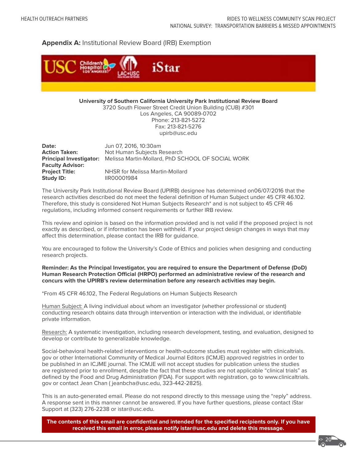#### **Appendix A:** Institutional Review Board (IRB) Exemption



**University of Southern California University Park Institutional Review Board**

3720 South Flower Street Credit Union Building (CUB) #301 Los Angeles, CA 90089-0702 Phone: 213-821-5272 Fax: 213-821-5276 upirb@usc.edu

**Date:** Jun 07, 2016, 10:30am **Action Taken:** Not Human Subjects Research **Principal Investigator:** Melissa Martin-Mollard, PhD SCHOOL OF SOCIAL WORK **Faculty Advisor: Project Title:** NHSR for Melissa Martin-Mollard **Study ID:** IIR00001984

The University Park Institutional Review Board (UPIRB) designee has determined on06/07/2016 that the research activities described do not meet the federal definition of Human Subject under 45 CFR 46.102. Therefore, this study is considered Not Human Subjects Research\* and is not subject to 45 CFR 46 regulations, including informed consent requirements or further IRB review.

This review and opinion is based on the information provided and is not valid if the proposed project is not exactly as described, or if information has been withheld. If your project design changes in ways that may affect this determination, please contact the IRB for guidance.

You are encouraged to follow the University's Code of Ethics and policies when designing and conducting research projects.

#### **Reminder: As the Principal Investigator, you are required to ensure the Department of Defense (DoD) Human Research Protection Official (HRPO) performed an administrative review of the research and concurs with the UPIRB's review determination before any research activities may begin.**

\*From 45 CFR 46.102, The Federal Regulations on Human Subjects Research

Human Subject: A living individual about whom an investigator (whether professional or student) conducting research obtains data through intervention or interaction with the individual, or identifiable private information.

Research: A systematic investigation, including research development, testing, and evaluation, designed to develop or contribute to generalizable knowledge.

Social-behavioral health-related interventions or health-outcome studies must register with clinicaltrials. gov or other International Community of Medical Journal Editors (ICMJE) approved registries in order to be published in an ICJME journal. The ICMJE will not accept studies for publication unless the studies are registered prior to enrollment, despite the fact that these studies are not applicable "clinical trials" as defined by the Food and Drug Administration (FDA). For support with registration, go to www.clinicaltrials. gov or contact Jean Chan ( jeanbcha@usc.edu, 323-442-2825).

This is an auto-generated email. Please do not respond directly to this message using the "reply" address. A response sent in this manner cannot be answered. If you have further questions, please contact iStar Support at (323) 276-2238 or istar@usc.edu.

**The contents of this email are confidential and intended for the specified recipients only. If you have received this email in error, please notify istar@usc.edu and delete this message.**

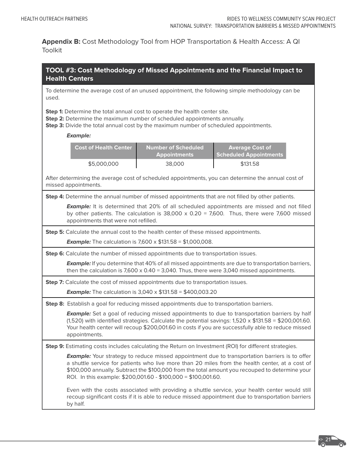**Appendix B:** Cost Methodology Tool from HOP Transportation & Health Access: A QI Toolkit

| TOOL #3: Cost Methodology of Missed Appointments and the Financial Impact to<br><b>Health Centers</b>                                                                                                                                                                                                                                                                         |  |  |  |  |
|-------------------------------------------------------------------------------------------------------------------------------------------------------------------------------------------------------------------------------------------------------------------------------------------------------------------------------------------------------------------------------|--|--|--|--|
| To determine the average cost of an unused appointment, the following simple methodology can be<br>used.                                                                                                                                                                                                                                                                      |  |  |  |  |
| Step 1: Determine the total annual cost to operate the health center site.<br>Step 2: Determine the maximum number of scheduled appointments annually.<br>Step 3: Divide the total annual cost by the maximum number of scheduled appointments.                                                                                                                               |  |  |  |  |
| <b>Example:</b>                                                                                                                                                                                                                                                                                                                                                               |  |  |  |  |
| <b>Cost of Health Center</b><br><b>Number of Scheduled</b><br><b>Average Cost of</b><br><b>Scheduled Appointments</b><br><b>Appointments</b>                                                                                                                                                                                                                                  |  |  |  |  |
| \$5,000,000<br>38,000<br>\$131.58                                                                                                                                                                                                                                                                                                                                             |  |  |  |  |
| After determining the average cost of scheduled appointments, you can determine the annual cost of<br>missed appointments.                                                                                                                                                                                                                                                    |  |  |  |  |
| Step 4: Determine the annual number of missed appointments that are not filled by other patients.                                                                                                                                                                                                                                                                             |  |  |  |  |
| <b>Example:</b> It is determined that 20% of all scheduled appointments are missed and not filled<br>by other patients. The calculation is $38,000 \times 0.20 = 7,600$ . Thus, there were 7,600 missed<br>appointments that were not refilled.                                                                                                                               |  |  |  |  |
| Step 5: Calculate the annual cost to the health center of these missed appointments.                                                                                                                                                                                                                                                                                          |  |  |  |  |
| <b>Example:</b> The calculation is 7,600 x $$131.58 = $1,000,008$ .                                                                                                                                                                                                                                                                                                           |  |  |  |  |
| Step 6: Calculate the number of missed appointments due to transportation issues.                                                                                                                                                                                                                                                                                             |  |  |  |  |
| <b>Example:</b> If you determine that 40% of all missed appointments are due to transportation barriers,<br>then the calculation is $7,600 \times 0.40 = 3,040$ . Thus, there were 3,040 missed appointments.                                                                                                                                                                 |  |  |  |  |
| Step 7: Calculate the cost of missed appointments due to transportation issues.                                                                                                                                                                                                                                                                                               |  |  |  |  |
| <b>Example:</b> The calculation is 3,040 x $$131.58 = $400,003.20$                                                                                                                                                                                                                                                                                                            |  |  |  |  |
| Step 8: Establish a goal for reducing missed appointments due to transportation barriers.                                                                                                                                                                                                                                                                                     |  |  |  |  |
| <b>Example:</b> Set a goal of reducing missed appointments to due to transportation barriers by half<br>(1,520) with identified strategies. Calculate the potential savings: $1,520 \times $131.58 = $200,001.60$ .<br>Your health center will recoup \$200,001.60 in costs if you are successfully able to reduce missed<br>appointments.                                    |  |  |  |  |
| Step 9: Estimating costs includes calculating the Return on Investment (ROI) for different strategies.                                                                                                                                                                                                                                                                        |  |  |  |  |
| <b>Example:</b> Your strategy to reduce missed appointment due to transportation barriers is to offer<br>a shuttle service for patients who live more than 20 miles from the health center, at a cost of<br>\$100,000 annually. Subtract the \$100,000 from the total amount you recouped to determine your<br>ROI. In this example: \$200,001.60 - \$100,000 = \$100,001.60. |  |  |  |  |
| Even with the costs associated with providing a shuttle service, your health center would still<br>recoup significant costs if it is able to reduce missed appointment due to transportation barriers<br>by half.                                                                                                                                                             |  |  |  |  |

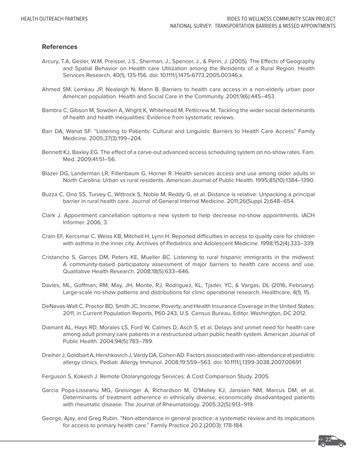#### **References**

- Arcury, T.A, Gesler, W.M, Preisser, J.S., Sherman, J., Spencer, J., & Perin, J. (2005). The Effects of Geography and Spatial Behavior on Health care Utilization among the Residents of a Rural Region. Health Services Research, 40(1), 135-156. doi: 10.1111/j.1475-6773.2005.00346.x.
- Ahmed SM, Lemkau JP, Nealeigh N, Mann B. Barriers to health care access in a non-elderly urban poor American population. Health and Social Care in the Community. 2001;9(6):445–453.
- Bambra C, Gibson M, Sowden A, Wright K, Whitehead M, Petticrew M. Tackling the wider social determinants of health and health inequalities: Evidence from systematic reviews.
- Barr DA, Wanat SF. "Listening to Patients: Cultural and Linguistic Barriers to Health Care Access" Family Medicine. 2005;37(3):199–204.
- Bennett KJ, Baxley EG. The effect of a carve-out advanced access scheduling system on no-show rates. Fam. Med. 2009;41:51–56.
- Blazer DG, Landerman LR, Fillenbaum G, Horner R. Health services access and use among older adults in North Carolina: Urban vs rural residents. American Journal of Public Health. 1995;85(10):1384–1390.
- Buzza C, Ono SS, Turvey C, Wittrock S, Noble M, Reddy G, et al. Distance is relative: Unpacking a principal barrier in rural health care. Journal of General Internal Medicine. 2011;26(Suppl 2):648–654.
- Clark J. Appointment cancellation options-a new system to help decrease no-show appointments. IACH Informer. 2006, 3.
- Crain EF, Kercsmar C, Weiss KB, Mitchell H, Lynn H. Reported difficulties in access to quality care for children with asthma in the inner city. Archives of Pediatrics and Adolescent Medicine. 1998;152(4):333–339.
- Cristancho S, Garces DM, Peters KE, Mueller BC. Listening to rural hispanic immigrants in the midwest: A community-based participatory assessment of major barriers to health care access and use. Qualitative Health Research. 2008;18(5):633–646.
- Davies, ML, Goffman, RM, May, JH, Monte, RJ, Rodriguez, KL, Tjader, YC, & Vargas, DL (2016, February). Large-scale no-show patterns and distributions for clinic operational research. Healthcare, 4(1), 15.
- DeNavas-Walt C, Proctor BD, Smith JC. Income, Poverty, and Health Insurance Coverage in the United States: 2011, in Current Population Reports, P60-243, U.S. Census Bureau, Editor. Washington, DC 2012.
- Diamant AL, Hays RD, Morales LS, Ford W, Calmes D, Asch S, et al. Delays and unmet need for health care among adult primary care patients in a restructured urban public health system. American Journal of Public Health. 2004;94(5):783–789.
- Dreiher J, Goldbart A, Hershkovich J, Vardy DA, Cohen AD. Factors associated with non-attendance at pediatric allergy clinics. Pediatr. Allergy Immunol. 2008;19:559–563. doi: 10.1111/j.1399-3038.2007.00691.
- Ferguson S, Kokesh J. Remote Otolaryngology Services: A Cost Comparison Study. 2005.
- Garcia Popa-Lisseanu MG, Greisinger A, Richardson M, O'Malley KJ, Janssen NM, Marcus DM, et al. Determinants of treatment adherence in ethnically diverse, economically disadvantaged patients with rheumatic disease. The Journal of Rheumatology. 2005;32(5):913–919.
- George, Ajay, and Greg Rubin. "Non-attendance in general practice: a systematic review and its implications for access to primary health care." Family Practice 20.2 (2003): 178-184.

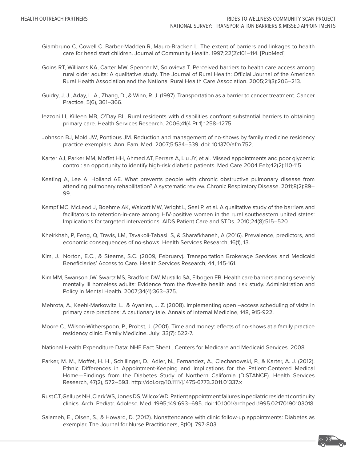- Giambruno C, Cowell C, Barber-Madden R, Mauro-Bracken L. The extent of barriers and linkages to health care for head start children. Journal of Community Health. 1997;22(2):101–114. [PubMed]
- Goins RT, Williams KA, Carter MW, Spencer M, Solovieva T. Perceived barriers to health care access among rural older adults: A qualitative study. The Journal of Rural Health: Official Journal of the American Rural Health Association and the National Rural Health Care Association. 2005;21(3):206–213.
- Guidry, J. J., Aday, L. A., Zhang, D., & Winn, R. J. (1997). Transportation as a barrier to cancer treatment. Cancer Practice, 5(6), 361–366.
- Iezzoni LI, Killeen MB, O'Day BL. Rural residents with disabilities confront substantial barriers to obtaining primary care. Health Services Research. 2006;41(4 Pt 1):1258–1275.
- Johnson BJ, Mold JW, Pontious JM. Reduction and management of no-shows by family medicine residency practice exemplars. Ann. Fam. Med. 2007;5:534–539. doi: 10.1370/afm.752.
- Karter AJ, Parker MM, Moffet HH, Ahmed AT, Ferrara A, Liu JY, et al. Missed appointments and poor glycemic control: an opportunity to identify high-risk diabetic patients. Med Care 2004 Feb;42(2):110-115.
- Keating A, Lee A, Holland AE. What prevents people with chronic obstructive pulmonary disease from attending pulmonary rehabilitation? A systematic review. Chronic Respiratory Disease. 2011;8(2):89– 99.
- Kempf MC, McLeod J, Boehme AK, Walcott MW, Wright L, Seal P, et al. A qualitative study of the barriers and facilitators to retention-in-care among HIV-positive women in the rural southeastern united states: Implications for targeted interventions. AIDS Patient Care and STDs. 2010;24(8):515–520.
- Kheirkhah, P, Feng, Q, Travis, LM, Tavakoli-Tabasi, S, & Sharafkhaneh, A (2016). Prevalence, predictors, and economic consequences of no-shows. Health Services Research, 16(1), 13.
- Kim, J., Norton, E.C., & Stearns, S.C. (2009, February). Transportation Brokerage Services and Medicaid Beneficiaries' Access to Care. Health Services Research, 44, 145-161.
- Kim MM, Swanson JW, Swartz MS, Bradford DW, Mustillo SA, Elbogen EB. Health care barriers among severely mentally ill homeless adults: Evidence from the five-site health and risk study. Administration and Policy in Mental Health. 2007;34(4):363–375.
- Mehrota, A., Keehl-Markowitz, L., & Ayanian, J. Z. (2008). Implementing open –access scheduling of visits in primary care practices: A cautionary tale. Annals of Internal Medicine, 148, 915-922.
- Moore C., Wilson-Witherspoon, P., Probst, J. (2001). Time and money: effects of no-shows at a family practice residency clinic. Family Medicine. July; 33(7): 522-7.

National Health Expenditure Data: NHE Fact Sheet . Centers for Medicare and Medicaid Services. 2008.

- Parker, M. M., Moffet, H. H., Schillinger, D., Adler, N., Fernandez, A., Ciechanowski, P., & Karter, A. J. (2012). Ethnic Differences in Appointment-Keeping and Implications for the Patient-Centered Medical Home—Findings from the Diabetes Study of Northern California (DISTANCE). Health Services Research, 47(2), 572–593. http://doi.org/10.1111/j.1475-6773.2011.01337.x
- Rust CT, Gallups NH, Clark WS, Jones DS, Wilcox WD. Patient appointment failures in pediatric resident continuity clinics. Arch. Pediatr. Adolesc. Med. 1995;149:693–695. doi: 10.1001/archpedi.1995.02170190103018.
- Salameh, E., Olsen, S., & Howard, D. (2012). Nonattendance with clinic follow-up appointments: Diabetes as exemplar. The Journal for Nurse Practitioners, 8(10), 797-803.

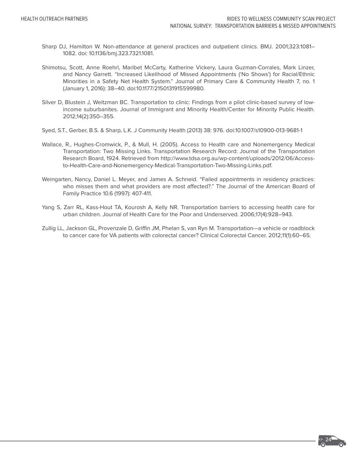- Sharp DJ, Hamilton W. Non-attendance at general practices and outpatient clinics. BMJ. 2001;323:1081– 1082. doi: 10.1136/bmj.323.7321.1081.
- Shimotsu, Scott, Anne Roehrl, Maribet McCarty, Katherine Vickery, Laura Guzman-Corrales, Mark Linzer, and Nancy Garrett. "Increased Likelihood of Missed Appointments ('No Shows') for Racial/Ethnic Minorities in a Safety Net Health System." Journal of Primary Care & Community Health 7, no. 1 (January 1, 2016): 38–40. doi:10.1177/2150131915599980.
- Silver D, Blustein J, Weitzman BC. Transportation to clinic: Findings from a pilot clinic-based survey of lowincome suburbanites. Journal of Immigrant and Minority Health/Center for Minority Public Health. 2012;14(2):350–355.
- Syed, S.T., Gerber, B.S. & Sharp, L.K. J Community Health (2013) 38: 976. doi:10.1007/s10900-013-9681-1
- Wallace, R., Hughes-Cromwick, P., & Mull, H. (2005). Access to Health care and Nonemergency Medical Transportation: Two Missing Links. Transportation Research Record: Journal of the Transportation Research Board, 1924. Retrieved from http://www.tdsa.org.au/wp-content/uploads/2012/06/Accessto-Health-Care-and-Nonemergency-Medical-Transportation-Two-Missing-Links.pdf.
- Weingarten, Nancy, Daniel L. Meyer, and James A. Schneid. "Failed appointments in residency practices: who misses them and what providers are most affected?." The Journal of the American Board of Family Practice 10.6 (1997): 407-411.
- Yang S, Zarr RL, Kass-Hout TA, Kourosh A, Kelly NR. Transportation barriers to accessing health care for urban children. Journal of Health Care for the Poor and Underserved. 2006;17(4):928–943.
- Zullig LL, Jackson GL, Provenzale D, Griffin JM, Phelan S, van Ryn M. Transportation—a vehicle or roadblock to cancer care for VA patients with colorectal cancer? Clinical Colorectal Cancer. 2012;11(1):60–65.

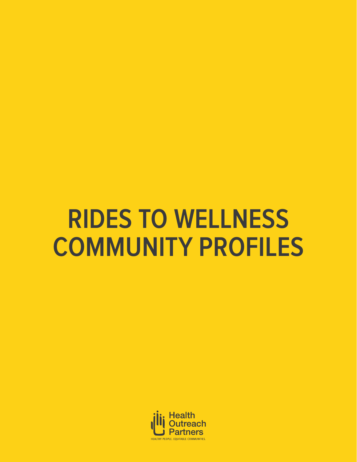# **RIDES TO WELLNESS COMMUNITY PROFILES**

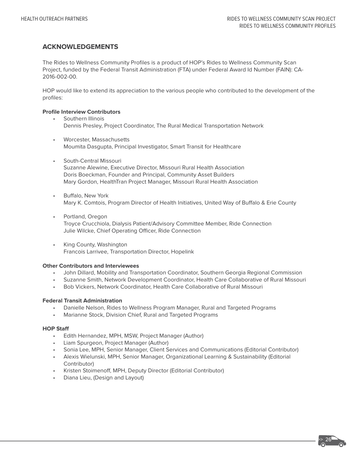#### **ACKNOWLEDGEMENTS**

The Rides to Wellness Community Profiles is a product of HOP's Rides to Wellness Community Scan Project, funded by the Federal Transit Administration (FTA) under Federal Award Id Number (FAIN): CA-2016-002-00.

HOP would like to extend its appreciation to the various people who contributed to the development of the profiles:

#### **Profile Interview Contributors**

- Southern Illinois Dennis Presley, Project Coordinator, The Rural Medical Transportation Network
- Worcester, Massachusetts Moumita Dasgupta, Principal Investigator, Smart Transit for Healthcare
- South-Central Missouri Suzanne Alewine, Executive Director, Missouri Rural Health Association Doris Boeckman, Founder and Principal, Community Asset Builders Mary Gordon, HealthTran Project Manager, Missouri Rural Health Association
- Buffalo, New York Mary K. Comtois, Program Director of Health Initiatives, United Way of Buffalo & Erie County
- Portland, Oregon Troyce Crucchiola, Dialysis Patient/Advisory Committee Member, Ride Connection Julie Wilcke, Chief Operating Officer, Ride Connection
- King County, Washington Francois Larrivee, Transportation Director, Hopelink

#### **Other Contributors and Interviewees**

- John Dillard, Mobility and Transportation Coordinator, Southern Georgia Regional Commission
- Suzanne Smith, Network Development Coordinator, Health Care Collaborative of Rural Missouri
- Bob Vickers, Network Coordinator, Health Care Collaborative of Rural Missouri

#### **Federal Transit Administration**

- Danielle Nelson, Rides to Wellness Program Manager, Rural and Targeted Programs
- Marianne Stock, Division Chief, Rural and Targeted Programs

#### **HOP Staff**

- Edith Hernandez, MPH, MSW, Project Manager (Author)
- Liam Spurgeon, Project Manager (Author)
- Sonia Lee, MPH, Senior Manager, Client Services and Communications (Editorial Contributor)
- Alexis Wielunski, MPH, Senior Manager, Organizational Learning & Sustainability (Editorial Contributor)
- Kristen Stoimenoff, MPH, Deputy Director (Editorial Contributor)
- Diana Lieu, (Design and Layout)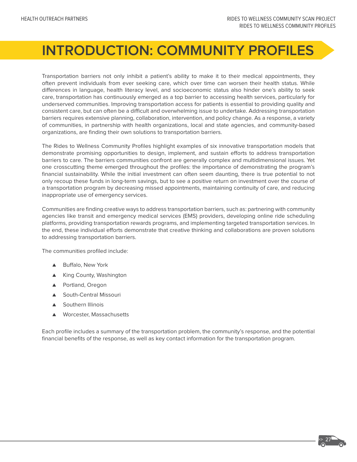# **INTRODUCTION: COMMUNITY PROFILES**

Transportation barriers not only inhibit a patient's ability to make it to their medical appointments, they often prevent individuals from ever seeking care, which over time can worsen their health status. While differences in language, health literacy level, and socioeconomic status also hinder one's ability to seek care, transportation has continuously emerged as a top barrier to accessing health services, particularly for underserved communities. Improving transportation access for patients is essential to providing quality and consistent care, but can often be a difficult and overwhelming issue to undertake. Addressing transportation barriers requires extensive planning, collaboration, intervention, and policy change. As a response, a variety of communities, in partnership with health organizations, local and state agencies, and community-based organizations, are finding their own solutions to transportation barriers.

The Rides to Wellness Community Profiles highlight examples of six innovative transportation models that demonstrate promising opportunities to design, implement, and sustain efforts to address transportation barriers to care. The barriers communities confront are generally complex and multidimensional issues. Yet one crosscutting theme emerged throughout the profiles: the importance of demonstrating the program's financial sustainability. While the initial investment can often seem daunting, there is true potential to not only recoup these funds in long-term savings, but to see a positive return on investment over the course of a transportation program by decreasing missed appointments, maintaining continuity of care, and reducing inappropriate use of emergency services.

Communities are finding creative ways to address transportation barriers, such as: partnering with community agencies like transit and emergency medical services (EMS) providers, developing online ride scheduling platforms, providing transportation rewards programs, and implementing targeted transportation services. In the end, these individual efforts demonstrate that creative thinking and collaborations are proven solutions to addressing transportation barriers.

The communities profiled include:

- ▲ Buffalo, New York
- ▲ King County, Washington
- ▲ Portland, Oregon
- ▲ South-Central Missouri
- ▲ Southern Illinois
- Worcester, Massachusetts

Each profile includes a summary of the transportation problem, the community's response, and the potential financial benefits of the response, as well as key contact information for the transportation program.

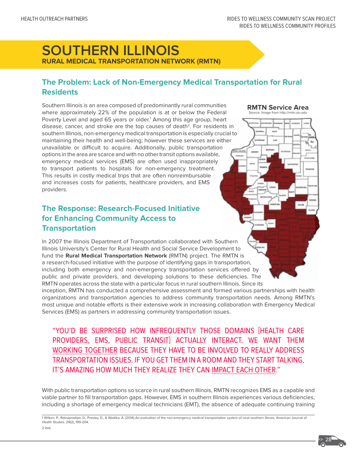**RMTN Service Area** Source: Image from http://rmtn.siu.edu

# **SOUTHERN ILLINOIS RURAL MEDICAL TRANSPORTATION NETWORK (RMTN)**

# **The Problem: Lack of Non-Emergency Medical Transportation for Rural Residents**

Southern Illinois is an area composed of predominantly rural communities where approximately 22% of the population is at or below the Federal Poverty Level and aged 65 years or older.<sup>1</sup> Among this age group, heart disease, cancer, and stroke are the top causes of death<sup>2</sup>. For residents in southern Illinois, non-emergency medical transportation is especially crucial to maintaining their health and well-being; however these services are either unavailable or difficult to acquire. Additionally, public transportation options in the area are scarce and with no other transit options available, emergency medical services (EMS) are often used inappropriately to transport patients to hospitals for non-emergency treatment. This results in costly medical trips that are often nonreimbursable and increases costs for patients, healthcare providers, and EMS providers.

# **The Response: Research-Focused Initiative for Enhancing Community Access to Transportation**

In 2007 the Illinois Department of Transportation collaborated with Southern Illinois University's Center for Rural Health and Social Service Development to fund the **Rural Medical Transportation Network** (RMTN) project. The RMTN is a research-focused initiative with the purpose of identifying gaps in transportation, including both emergency and non-emergency transportation services offered by public and private providers, and developing solutions to these deficiencies. The RMTN operates across the state with a particular focus in rural southern Illinois. Since its

inception, RMTN has conducted a comprehensive assessment and formed various partnerships with health organizations and transportation agencies to address community transportation needs. Among RMTN's most unique and notable efforts is their extensive work in increasing collaboration with Emergency Medical Services (EMS) as partners in addressing community transportation issues.

"YOU'D BE SURPRISED HOW INFREQUENTLY THOSE DOMAINS [HEALTH CARE PROVIDERS, EMS, PUBLIC TRANSIT] ACTUALLY INTERACT. WE WANT THEM WORKING TOGETHER BECAUSE THEY HAVE TO BE INVOLVED TO REALLY ADDRESS TRANSPORTATION ISSUES. IF YOU GET THEM IN A ROOM AND THEY START TALKING, IT'S AMAZING HOW MUCH THEY REALIZE THEY CAN IMPACT EACH OTHER."

With public transportation options so scarce in rural southern Illinois, RMTN recognizes EMS as a capable and viable partner to fill transportation gaps. However, EMS in southern Illinois experiences various deficiencies, including a shortage of emergency medical technicians (EMT), the absence of adequate continuing training

1 Wilken, P., Ratnapradipa, D., Presley, D., & Wodika, A. (2014) An evaluation of the non-emergency medical transportation system of rural southern Illinois. American Journal of Health Studies. 29(2), 199-204. 2 ibid.



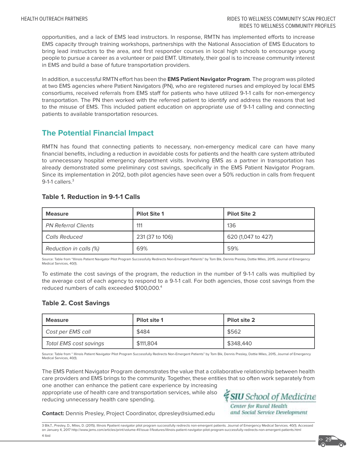opportunities, and a lack of EMS lead instructors. In response, RMTN has implemented efforts to increase EMS capacity through training workshops, partnerships with the National Association of EMS Educators to bring lead instructors to the area, and first responder courses in local high schools to encourage young people to pursue a career as a volunteer or paid EMT. Ultimately, their goal is to increase community interest in EMS and build a base of future transportation providers.

In addition, a successful RMTN effort has been the **EMS Patient Navigator Program**. The program was piloted at two EMS agencies where Patient Navigators (PN), who are registered nurses and employed by local EMS consortiums, received referrals from EMS staff for patients who have utilized 9-1-1 calls for non-emergency transportation. The PN then worked with the referred patient to identify and address the reasons that led to the misuse of EMS. This included patient education on appropriate use of 9-1-1 calling and connecting patients to available transportation resources.

# **The Potential Financial Impact**

RMTN has found that connecting patients to necessary, non-emergency medical care can have many financial benefits, including a reduction in avoidable costs for patients and the health care system attributed to unnecessary hospital emergency department visits. Involving EMS as a partner in transportation has already demonstrated some preliminary cost savings, specifically in the EMS Patient Navigator Program. Since its implementation in 2012, both pilot agencies have seen over a 50% reduction in calls from frequent 9-1-1 callers.<sup>3</sup>

#### **Table 1. Reduction in 9-1-1 Calls**

| <b>Measure</b>             | <b>Pilot Site 1</b> | <b>Pilot Site 2</b> |
|----------------------------|---------------------|---------------------|
| <b>PN Referral Clients</b> | 111                 | 136                 |
| <b>Calls Reduced</b>       | 231 (37 to 106)     | 620 (1,047 to 427)  |
| Reduction in calls (%)     | 69%                 | 59%                 |

Source: Table from "Illinois Patient Navigator Pilot Program Successfully Redirects Non-Emergent Patients" by Tom Bik, Dennis Presley, Dottie Miles, 2015, Journal of Emergency Medical Services, 40(1).

To estimate the cost savings of the program, the reduction in the number of 9-1-1 calls was multiplied by the average cost of each agency to respond to a 9-1-1 call. For both agencies, those cost savings from the reduced numbers of calls exceeded \$100,000.4

#### **Table 2. Cost Savings**

| <b>Measure</b>         | Pilot site 1 | <b>Pilot site 2</b> |
|------------------------|--------------|---------------------|
| Cost per EMS call      | \$484        | \$562               |
| Total EMS cost savings | \$111,804    | \$348,440           |

Source: Table from " Illinois Patient Navigator Pilot Program Successfully Redirects Non-Emergent Patients" by Tom Bik, Dennis Presley, Dottie Miles, 2015, Journal of Emergency Medical Services, 40(1).

The EMS Patient Navigator Program demonstrates the value that a collaborative relationship between health care providers and EMS brings to the community. Together, these entities that so often work separately from

one another can enhance the patient care experience by increasing appropriate use of health care and transportation services, while also reducing unnecessary health care spending.

*& SIU School of Medicine* Center for Rural Health and Social Service Development

**Contact:** Dennis Presley, Project Coordinator, dpresley@siumed.edu

3 Bik,T., Presley, D., Miles, D. (2015). Illinois Ppatient navigator pilot program successfully redirects non-emergent patients. Journal of Emergency Medical Services. 40(1). Accessed on January 4, 2017 http://www.jems.com/articles/print/volume-41/issue-1/features/illinois-patient-navigator-pilot-program-successfully-redirects-non-emergent-patients.html 4 Ibid

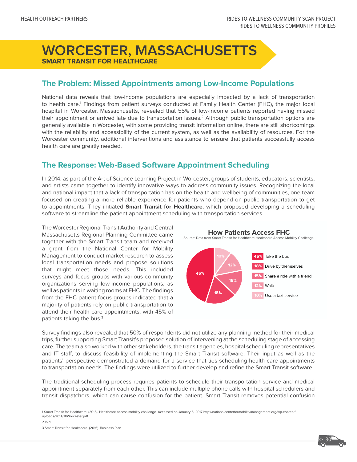# **WORCESTER, MASSACHUSETTS SMART TRANSIT FOR HEALTHCARE**

## **The Problem: Missed Appointments among Low-Income Populations**

National data reveals that low-income populations are especially impacted by a lack of transportation to health care.<sup>1</sup> Findings from patient surveys conducted at Family Health Center (FHC), the major local hospital in Worcester, Massachusetts, revealed that 55% of low-income patients reported having missed their appointment or arrived late due to transportation issues.<sup>2</sup> Although public transportation options are generally available in Worcester, with some providing transit information online, there are still shortcomings with the reliability and accessibility of the current system, as well as the availability of resources. For the Worcester community, additional interventions and assistance to ensure that patients successfully access health care are greatly needed.

# **The Response: Web-Based Software Appointment Scheduling**

In 2014, as part of the Art of Science Learning Project in Worcester, groups of students, educators, scientists, and artists came together to identify innovative ways to address community issues. Recognizing the local and national impact that a lack of transportation has on the health and wellbeing of communities, one team focused on creating a more reliable experience for patients who depend on public transportation to get to appointments. They initiated **Smart Transit for Healthcare**, which proposed developing a scheduling software to streamline the patient appointment scheduling with transportation services.

The Worcester Regional Transit Authority and Central Massachusetts Regional Planning Committee came together with the Smart Transit team and received a grant from the National Center for Mobility Management to conduct market research to assess local transportation needs and propose solutions that might meet those needs. This included surveys and focus groups with various community organizations serving low-income populations, as well as patients in waiting rooms at FHC. The findings from the FHC patient focus groups indicated that a majority of patients rely on public transportation to attend their health care appointments, with 45% of patients taking the bus.3



Survey findings also revealed that 50% of respondents did not utilize any planning method for their medical trips, further supporting Smart Transit's proposed solution of intervening at the scheduling stage of accessing care. The team also worked with other stakeholders, the transit agencies, hospital scheduling representatives and IT staff, to discuss feasibility of implementing the Smart Transit software. Their input as well as the patients' perspective demonstrated a demand for a service that ties scheduling health care appointments to transportation needs. The findings were utilized to further develop and refine the Smart Transit software.

The traditional scheduling process requires patients to schedule their transportation service and medical appointment separately from each other. This can include multiple phone calls with hospital schedulers and transit dispatchers, which can cause confusion for the patient. Smart Transit removes potential confusion

1 Smart Transit for Healthcare. (2015). Healthcare access mobility challenge. Accessed on January 6, 2017 http://nationalcenterformobilitymanagement.org/wp-content/ uploads/2014/11/Worcester.pdf

2 Ibid

3 Smart Transit for Healthcare. (2016). Business Plan.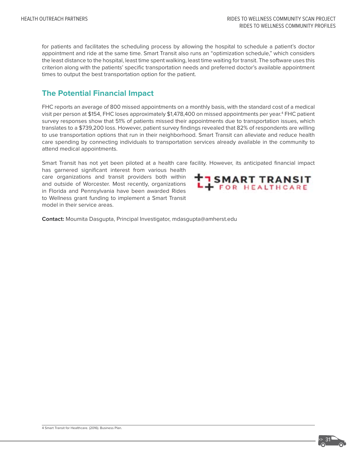for patients and facilitates the scheduling process by allowing the hospital to schedule a patient's doctor appointment and ride at the same time. Smart Transit also runs an "optimization schedule," which considers the least distance to the hospital, least time spent walking, least time waiting for transit. The software uses this criterion along with the patients' specific transportation needs and preferred doctor's available appointment times to output the best transportation option for the patient.

# **The Potential Financial Impact**

FHC reports an average of 800 missed appointments on a monthly basis, with the standard cost of a medical visit per person at \$154, FHC loses approximately \$1,478,400 on missed appointments per year.<sup>4</sup> FHC patient survey responses show that 51% of patients missed their appointments due to transportation issues, which translates to a \$739,200 loss. However, patient survey findings revealed that 82% of respondents are willing to use transportation options that run in their neighborhood. Smart Transit can alleviate and reduce health care spending by connecting individuals to transportation services already available in the community to attend medical appointments.

Smart Transit has not yet been piloted at a health care facility. However, its anticipated financial impact

has garnered significant interest from various health care organizations and transit providers both within and outside of Worcester. Most recently, organizations in Florida and Pennsylvania have been awarded Rides to Wellness grant funding to implement a Smart Transit model in their service areas.



**Contact:** Moumita Dasgupta, Principal Investigator, mdasgupta@amherst.edu

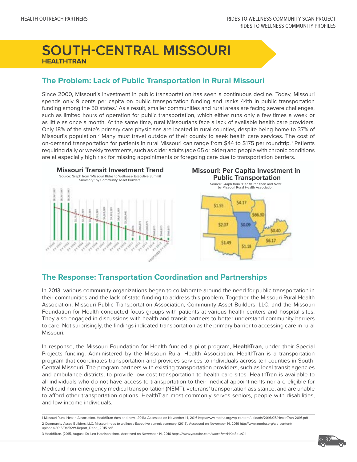# **SOUTH-CENTRAL MISSOURI HEALTHTRAN**

# **The Problem: Lack of Public Transportation in Rural Missouri**

Since 2000, Missouri's investment in public transportation has seen a continuous decline. Today, Missouri spends only 9 cents per capita on public transportation funding and ranks 44th in public transportation funding among the 50 states.<sup>1</sup> As a result, smaller communities and rural areas are facing severe challenges, such as limited hours of operation for public transportation, which either runs only a few times a week or as little as once a month. At the same time, rural Missourians face a lack of available health care providers. Only 18% of the state's primary care physicians are located in rural counties, despite being home to 37% of Missouri's population.<sup>2</sup> Many must travel outside of their county to seek health care services. The cost of on-demand transportation for patients in rural Missouri can range from \$44 to \$175 per roundtrip.<sup>3</sup> Patients requiring daily or weekly treatments, such as older adults (age 65 or older) and people with chronic conditions are at especially high risk for missing appointments or foregoing care due to transportation barriers.







# **The Response: Transportation Coordination and Partnerships**

In 2013, various community organizations began to collaborate around the need for public transportation in their communities and the lack of state funding to address this problem. Together, the Missouri Rural Health Association, Missouri Public Transportation Association, Community Asset Builders, LLC, and the Missouri Foundation for Health conducted focus groups with patients at various health centers and hospital sites. They also engaged in discussions with health and transit partners to better understand community barriers to care. Not surprisingly, the findings indicated transportation as the primary barrier to accessing care in rural Missouri.

In response, the Missouri Foundation for Health funded a pilot program, **HealthTran**, under their Special Projects funding. Administered by the Missouri Rural Health Association, HealthTran is a transportation program that coordinates transportation and provides services to individuals across ten counties in South-Central Missouri. The program partners with existing transportation providers, such as local transit agencies and ambulance districts, to provide low cost transportation to health care sites. HealthTran is available to all individuals who do not have access to transportation to their medical appointments nor are eligible for Medicaid non-emergency medical transportation (NEMT), veterans' transportation assistance, and are unable to afford other transportation options. HealthTran most commonly serves seniors, people with disabilities, and low-income individuals.

1 Missouri Rural Health Association. HealthTran then and now. (2016). Accessed on November 14, 2016 http://www.morha.org/wp-content/uploads/2016/05/HealthTran-2016.pdf 2 Community Asses Builders, LLC. Missouri rides to wellness-Executive summit summary. (2015). Accessed on November 14, 2016 http://www.morha.org/wp-content/ uploads/2016/04/R2W-Report\_Dec-1\_2015.pdf

3 HealthTran. (2015, August 10). Leo Haralson short. Accessed on November 14, 2016 https://www.youtube.com/watch?v=zHKctSdLzO4

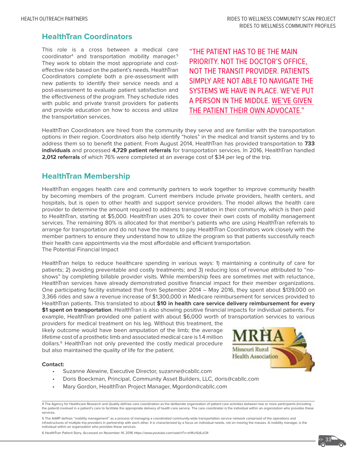## **HealthTran Coordinators**

This role is a cross between a medical care coordinator4 and transportation mobility manager.5 They work to obtain the most appropriate and costeffective ride based on the patient's needs. HealthTran Coordinators complete both a pre-assessment with new patients to identify their service needs and a post-assessment to evaluate patient satisfaction and the effectiveness of the program. They schedule rides with public and private transit providers for patients and provide education on how to access and utilize the transportation services.

"THE PATIENT HAS TO BE THE MAIN PRIORITY. NOT THE DOCTOR'S OFFICE, NOT THE TRANSIT PROVIDER. PATIENTS SIMPLY ARE NOT ABLE TO NAVIGATE THE SYSTEMS WE HAVE IN PLACE. WE'VE PUT A PERSON IN THE MIDDLE. WE'VE GIVEN THE PATIENT THEIR OWN ADVOCATE."

HealthTran Coordinators are hired from the community they serve and are familiar with the transportation options in their region. Coordinators also help identify "holes" in the medical and transit systems and try to address them so to benefit the patient. From August 2014, HealthTran has provided transportation to **733 individuals** and processed **4,729 patient referrals** for transportation services. In 2016, HealthTran handled **2,012 referrals** of which 76% were completed at an average cost of \$34 per leg of the trip.

# **HealthTran Membership**

HealthTran engages health care and community partners to work together to improve community health by becoming members of the program. Current members include private providers, health centers, and hospitals, but is open to other health and support service providers. The model allows the health care provider to determine the amount required to address transportation in their community, which is then paid to HealthTran, starting at \$5,000. HealthTran uses 20% to cover their own costs of mobility management services. The remaining 80% is allocated for that member's patients who are using HealthTran referrals to arrange for transportation and do not have the means to pay. HealthTran Coordinators work closely with the member partners to ensure they understand how to utilize the program so that patients successfully reach their health care appointments via the most affordable and efficient transportation. The Potential Financial Impact

HealthTran helps to reduce healthcare spending in various ways: 1) maintaining a continuity of care for patients; 2) avoiding preventable and costly treatments; and 3) reducing loss of revenue attributed to "noshows" by completing billable provider visits. While membership fees are sometimes met with reluctance, HealthTran services have already demonstrated positive financial impact for their member organizations. One participating facility estimated that from September 2014 – May 2016, they spent about \$139,000 on 3,366 rides and saw a revenue increase of \$1,300,000 in Medicare reimbursement for services provided to HealthTran patients. This translated to about **\$10 in health care service delivery reimbursement for every \$1 spent on transportation**. HealthTran is also showing positive financial impacts for individual patients. For example, HealthTran provided one patient with about \$6,000 worth of transportation services to various

providers for medical treatment on his leg. Without this treatment, the likely outcome would have been amputation of the limb; the average lifetime cost of a prosthetic limb and associated medical care is 1.4 million dollars.6 HealthTran not only prevented the costly medical procedure but also maintained the quality of life for the patient.



#### **Contact:**

- Suzanne Alewine, Executive Director, suzanne@cabllc.com
- Doris Boeckman, Principal, Community Asset Builders, LLC, doris@cabllc.com
- Mary Gordon, HealthTran Project Manager, Mgordon@cabllc.com

5 The AARP defines "mobility management" as a process of managing a coordinated community-wide transportation service network comprised of the operations and infrastructures of multiple trip providers in partnership with each other. It is characterized by a focus on individual needs, not on moving the masses. A mobility manager, is the<br>individual within an organization who prov

6 HealthTran Patient Story. Accessed on November 14, 2016 https://www.youtube.com/watch?v=zHKctSdLzO4

**>>> 33**

<sup>4</sup> The Agency for Healthcare Research and Quality defines care coordination as the deliberate organization of patient care activities between two or more participants (including the patient) involved in a patient's care to facilitate the appropriate delivery of health care service. The care coordinator is the individual within an organization who provides these services.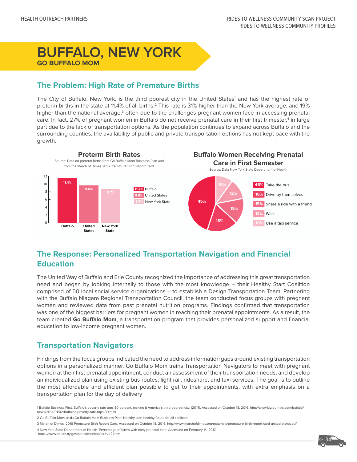# **BUFFALO, NEW YORK GO BUFFALO MOM**

# **The Problem: High Rate of Premature Births**

The City of Buffalo, New York, is the third poorest city in the United States<sup>1</sup> and has the highest rate of preterm births in the state at 11.4% of all births.<sup>2</sup> This rate is 31% higher than the New York average, and 19% higher than the national average,<sup>3</sup> often due to the challenges pregnant women face in accessing prenatal care. In fact, 27% of pregnant women in Buffalo do not receive prenatal care in their first trimester,<sup>4</sup> in large part due to the lack of transportation options. As the population continues to expand across Buffalo and the surrounding counties, the availability of public and private transportation options has not kept pace with the growth.



# **The Response: Personalized Transportation Navigation and Financial Education**

The United Way of Buffalo and Erie County recognized the importance of addressing this great transportation need and began by looking internally to those with the most knowledge – their Healthy Start Coalition comprised of 50 local social service organizations – to establish a Design Transportation Team. Partnering with the Buffalo Niagara Regional Transportation Council, the team conducted focus groups with pregnant women and reviewed data from past prenatal nutrition programs. Findings confirmed that transportation was one of the biggest barriers for pregnant women in reaching their prenatal appointments. As a result, the team created **Go Buffalo Mom**, a transportation program that provides personalized support and financial education to low-income pregnant women.

# **Transportation Navigators**

Findings from the focus groups indicated the need to address information gaps around existing transportation options in a personalized manner. Go Buffalo Mom trains Transportation Navigators to meet with pregnant women at their first prenatal appointment, conduct an assessment of their transportation needs, and develop an individualized plan using existing bus routes, light rail, rideshare, and taxi services. The goal is to outline the most affordable and efficient plan possible to get to their appointments, with extra emphasis on a transportation plan for the day of delivery

2 Go Buffalo Mom. (n.d.) Go Buffalo Mom Business Plan: Healthy start healthy future for all coalition.

3 March of Dimes. 2016 Premature Birth Report Card. Accessed on October 18, 2016. http://www.marchofdimes.org/materials/premature-birth-report-card-united-states.pdf

4 New York State Department of Health. Percentage of births with early prenatal care. Accessed on February 14, 2017. https://www.health.ny.gov/statistics/chac/birth/b21.htm

<sup>1</sup> Buffalo Business First. Buffalo's poverty rate tops 30 percent, making it America's third-poorest city. (2014). Accessed on October 18, 2016. http://www.bizjournals.com/buffalo/ news/2014/01/02/buffalos-poverty-rate-tops-30.html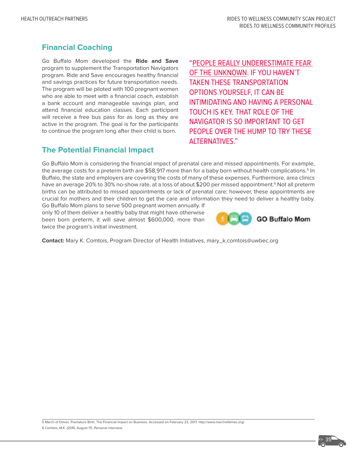# **Financial Coaching**

Go Buffalo Mom developed the **Ride and Save**  program to supplement the Transportation Navigators program. Ride and Save encourages healthy financial and savings practices for future transportation needs. The program will be piloted with 100 pregnant women who are able to meet with a financial coach, establish a bank account and manageable savings plan, and attend financial education classes. Each participant will receive a free bus pass for as long as they are active in the program. The goal is for the participants to continue the program long after their child is born.

**The Potential Financial Impact**

"PEOPLE REALLY UNDERESTIMATE FEAR OF THE UNKNOWN. IF YOU HAVEN'T TAKEN THESE TRANSPORTATION OPTIONS YOURSELF, IT CAN BE INTIMIDATING AND HAVING A PERSONAL TOUCH IS KEY. THAT ROLE OF THE NAVIGATOR IS SO IMPORTANT TO GET PEOPLE OVER THE HUMP TO TRY THESE ALTERNATIVES."

Go Buffalo Mom is considering the financial impact of prenatal care and missed appointments. For example, the average costs for a preterm birth are \$58,917 more than for a baby born without health complications.<sup>5</sup> In Buffalo, the state and employers are covering the costs of many of these expenses. Furthermore, area clinics have an average 20% to 30% no-show rate, at a loss of about \$200 per missed appointment.<sup>6</sup> Not all preterm births can be attributed to missed appointments or lack of prenatal care; however, these appointments are crucial for mothers and their children to get the care and information they need to deliver a healthy baby.

Go Buffalo Mom plans to serve 500 pregnant women annually. If only 10 of them deliver a healthy baby that might have otherwise been born preterm, it will save almost \$600,000, more than twice the program's initial investment.



**Contact:** Mary K. Comtois, Program Director of Health Initiatives, mary\_k.comtois@uwbec.org

5 March of Dimes. Premature Birth, The Financial Impact on Business. Accessed on February 23, 2017. http://www.marchofdimes.org/ 6 Comtois, M.K. (2016, August 17). Personal interview.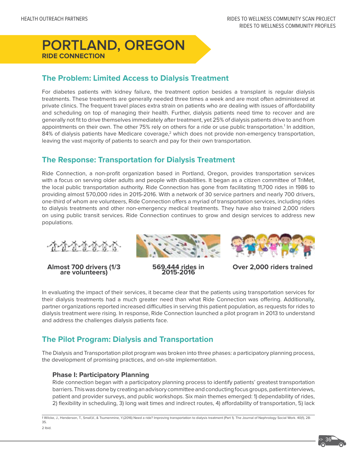# **PORTLAND, OREGON RIDE CONNECTION**

# **The Problem: Limited Access to Dialysis Treatment**

For diabetes patients with kidney failure, the treatment option besides a transplant is regular dialysis treatments. These treatments are generally needed three times a week and are most often administered at private clinics. The frequent travel places extra strain on patients who are dealing with issues of affordability and scheduling on top of managing their health. Further, dialysis patients need time to recover and are generally not fit to drive themselves immediately after treatment, yet 25% of dialysis patients drive to and from appointments on their own. The other 75% rely on others for a ride or use public transportation.<sup>1</sup> In addition, 84% of dialysis patients have Medicare coverage, $2$  which does not provide non-emergency transportation, leaving the vast majority of patients to search and pay for their own transportation.

# **The Response: Transportation for Dialysis Treatment**

Ride Connection, a non-profit organization based in Portland, Oregon, provides transportation services with a focus on serving older adults and people with disabilities. It began as a citizen committee of TriMet, the local public transportation authority. Ride Connection has gone from facilitating 11,700 rides in 1986 to providing almost 570,000 rides in 2015-2016. With a network of 30 service partners and nearly 700 drivers, one-third of whom are volunteers, Ride Connection offers a myriad of transportation services, including rides to dialysis treatments and other non-emergency medical treatments. They have also trained 2,000 riders on using public transit services. Ride Connection continues to grow and design services to address new populations.



**Almost 700 drivers (1/3 are volunteers) 569,444 rides in 2015-2016 Over 2,000 riders trained** 





In evaluating the impact of their services, it became clear that the patients using transportation services for their dialysis treatments had a much greater need than what Ride Connection was offering. Additionally, partner organizations reported increased difficulties in serving this patient population, as requests for rides to dialysis treatment were rising. In response, Ride Connection launched a pilot program in 2013 to understand and address the challenges dialysis patients face.

# **The Pilot Program: Dialysis and Transportation**

The Dialysis and Transportation pilot program was broken into three phases: a participatory planning process, the development of promising practices, and on-site implementation.

#### **Phase I: Participatory Planning**

Ride connection began with a participatory planning process to identify patients' greatest transportation barriers. This was done by creating an advisory committee and conducting focus groups, patient interviews, patient and provider surveys, and public workshops. Six main themes emerged: 1) dependability of rides, 2) flexibility in scheduling, 3) long wait times and indirect routes, 4) affordability of transportation, 5) lack

1 Wilcke, J., Henderson, T., Small,V., & Tsumenmine, Y.(2016) Need a ride? Improving transportation to dialysis treatment (Part 1). The Journal of Nephrology Social Work. 40(1), 28- 35.

2 Ibid.

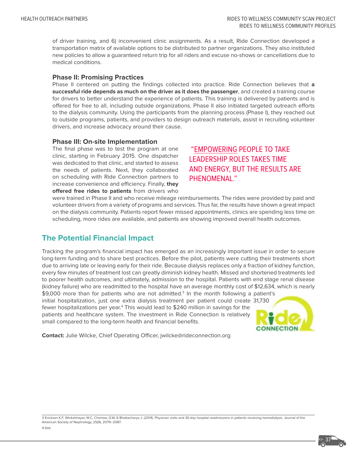of driver training, and 6) inconvenient clinic assignments. As a result, Ride Connection developed a transportation matrix of available options to be distributed to partner organizations. They also instituted new policies to allow a guaranteed return trip for all riders and excuse no-shows or cancellations due to medical conditions.

#### **Phase II: Promising Practices**

Phase II centered on putting the findings collected into practice. Ride Connection believes that **a successful ride depends as much on the driver as it does the passenger**, and created a training course for drivers to better understand the experience of patients. This training is delivered by patients and is offered for free to all, including outside organizations. Phase II also initiated targeted outreach efforts to the dialysis community. Using the participants from the planning process (Phase I), they reached out to outside programs, patients, and providers to design outreach materials, assist in recruiting volunteer drivers, and increase advocacy around their cause.

#### **Phase III: On-site Implementation**

The final phase was to test the program at one clinic, starting in February 2015. One dispatcher was dedicated to that clinic, and started to assess the needs of patients. Next, they collaborated on scheduling with Ride Connection partners to increase convenience and efficiency. Finally, **they offered free rides to patients** from drivers who

# "EMPOWERING PEOPLE TO TAKE LEADERSHIP ROLES TAKES TIME AND ENERGY, BUT THE RESULTS ARE PHENOMENAL."

were trained in Phase II and who receive mileage reimbursements. The rides were provided by paid and volunteer drivers from a variety of programs and services. Thus far, the results have shown a great impact on the dialysis community. Patients report fewer missed appointments, clinics are spending less time on scheduling, more rides are available, and patients are showing improved overall health outcomes.

# **The Potential Financial Impact**

Tracking the program's financial impact has emerged as an increasingly important issue in order to secure long-term funding and to share best practices. Before the pilot, patients were cutting their treatments short due to arriving late or leaving early for their ride. Because dialysis replaces only a fraction of kidney function, every few minutes of treatment lost can greatly diminish kidney health. Missed and shortened treatments led to poorer health outcomes, and ultimately, admission to the hospital. Patients with end stage renal disease (kidney failure) who are readmitted to the hospital have an average monthly cost of \$12,634, which is nearly

\$9,000 more than for patients who are not admitted.<sup>3</sup> In the month following a patient's initial hospitalization, just one extra dialysis treatment per patient could create 31,730 fewer hospitalizations per year.<sup>4</sup> This would lead to \$240 million in savings for the patients and healthcare system. The investment in Ride Connection is relatively small compared to the long-term health and financial benefits.



**Contact:** Julie Wilcke, Chief Operating Officer, jwilcke@rideconnection.org

3 Erickson K.F, Winkelmayer, W.C, Chertow, G.W, & Bhattacharya J. (2014). Physician visits and 30-day hospital readmissions in patients receiving hemodialysis. Journal of the American Society of Nephrology, 25(9), 2079–2087.

4 Ibid.

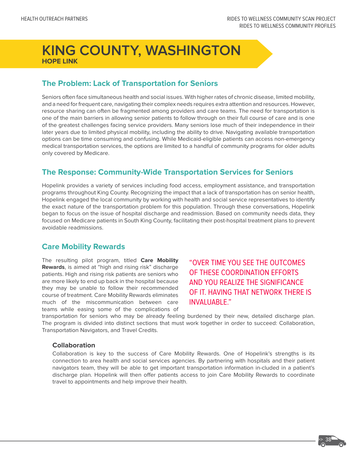# **KING COUNTY, WASHINGTON HOPE LINK**

# **The Problem: Lack of Transportation for Seniors**

Seniors often face simultaneous health and social issues. With higher rates of chronic disease, limited mobility, and a need for frequent care, navigating their complex needs requires extra attention and resources. However, resource sharing can often be fragmented among providers and care teams. The need for transportation is one of the main barriers in allowing senior patients to follow through on their full course of care and is one of the greatest challenges facing service providers. Many seniors lose much of their independence in their later years due to limited physical mobility, including the ability to drive. Navigating available transportation options can be time consuming and confusing. While Medicaid-eligible patients can access non-emergency medical transportation services, the options are limited to a handful of community programs for older adults only covered by Medicare.

### **The Response: Community-Wide Transportation Services for Seniors**

Hopelink provides a variety of services including food access, employment assistance, and transportation programs throughout King County. Recognizing the impact that a lack of transportation has on senior health, Hopelink engaged the local community by working with health and social service representatives to identify the exact nature of the transportation problem for this population. Through these conversations, Hopelink began to focus on the issue of hospital discharge and readmission. Based on community needs data, they focused on Medicare patients in South King County, facilitating their post-hospital treatment plans to prevent avoidable readmissions.

# **Care Mobility Rewards**

The resulting pilot program, titled **Care Mobility Rewards**, is aimed at "high and rising risk" discharge patients. High and rising risk patients are seniors who are more likely to end up back in the hospital because they may be unable to follow their recommended course of treatment. Care Mobility Rewards eliminates much of the miscommunication between care teams while easing some of the complications of

# "OVER TIME YOU SEE THE OUTCOMES OF THESE COORDINATION EFFORTS AND YOU REALIZE THE SIGNIFICANCE OF IT. HAVING THAT NETWORK THERE IS INVALUABLE."

transportation for seniors who may be already feeling burdened by their new, detailed discharge plan. The program is divided into distinct sections that must work together in order to succeed: Collaboration, Transportation Navigators, and Travel Credits.

#### **Collaboration**

Collaboration is key to the success of Care Mobility Rewards. One of Hopelink's strengths is its connection to area health and social services agencies. By partnering with hospitals and their patient navigators team, they will be able to get important transportation information in-cluded in a patient's discharge plan. Hopelink will then offer patients access to join Care Mobility Rewards to coordinate travel to appointments and help improve their health.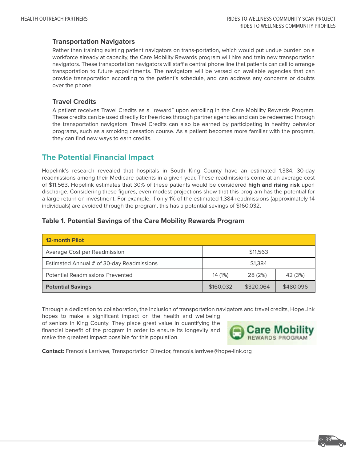#### **Transportation Navigators**

Rather than training existing patient navigators on trans-portation, which would put undue burden on a workforce already at capacity, the Care Mobility Rewards program will hire and train new transportation navigators. These transportation navigators will staff a central phone line that patients can call to arrange transportation to future appointments. The navigators will be versed on available agencies that can provide transportation according to the patient's schedule, and can address any concerns or doubts over the phone.

#### **Travel Credits**

A patient receives Travel Credits as a "reward" upon enrolling in the Care Mobility Rewards Program. These credits can be used directly for free rides through partner agencies and can be redeemed through the transportation navigators. Travel Credits can also be earned by participating in healthy behavior programs, such as a smoking cessation course. As a patient becomes more familiar with the program, they can find new ways to earn credits.

# **The Potential Financial Impact**

Hopelink's research revealed that hospitals in South King County have an estimated 1,384, 30-day readmissions among their Medicare patients in a given year. These readmissions come at an average cost of \$11,563. Hopelink estimates that 30% of these patients would be considered **high and rising risk** upon discharge. Considering these figures, even modest projections show that this program has the potential for a large return on investment. For example, if only 1% of the estimated 1,384 readmissions (approximately 14 individuals) are avoided through the program, this has a potential savings of \$160,032.

#### **Table 1. Potential Savings of the Care Mobility Rewards Program**

| <b>12-month Pilot</b>                     |           |           |           |
|-------------------------------------------|-----------|-----------|-----------|
| Average Cost per Readmission              | \$11,563  |           |           |
| Estimated Annual # of 30-day Readmissions | \$1,384   |           |           |
| <b>Potential Readmissions Prevented</b>   | 14 (1%)   | 28 (2%)   | 42 (3%)   |
| <b>Potential Savings</b>                  | \$160,032 | \$320,064 | \$480,096 |

Through a dedication to collaboration, the inclusion of transportation navigators and travel credits, HopeLink hopes to make a significant impact on the health and wellbeing

of seniors in King County. They place great value in quantifying the financial benefit of the program in order to ensure its longevity and make the greatest impact possible for this population.



**Contact:** Francois Larrivee, Transportation Director, francois.larrivee@hope-link.org